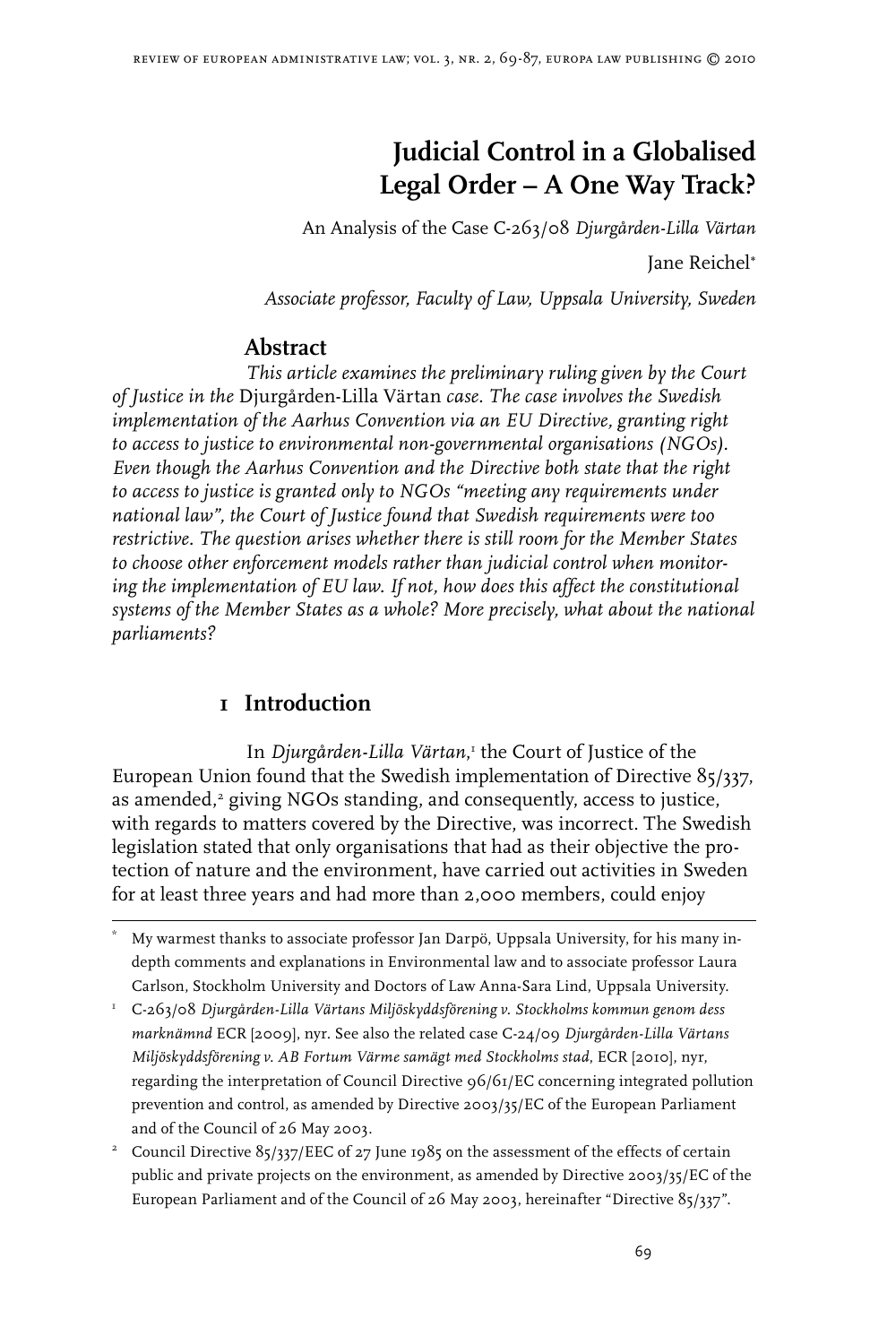# **Judicial Control in a Globalised Legal Order – A One Way Track?**

An Analysis of the Case C-263/08 *Djurgården-Lilla Värtan*

Jane Reichel<sup>∗</sup>

*Associate professor, Faculty of Law, Uppsala University, Sweden*

## **Abstract**

*This article examines the preliminary ruling given by the Court of Justice in the* Djurgården-Lilla Värtan *case. The case involves the Swedish implementation of the Aarhus Convention via an EU Directive, granting right to access to justice to environmental non-governmental organisations (NGOs). Even though the Aarhus Convention and the Directive both state that the right to access to justice is granted only to NGOs "meeting any requirements under national law", the Court of Justice found that Swedish requirements were too restrictive. The question arises whether there is still room for the Member States to choose other enforcement models rather than judicial control when monitoring the implementation of EU law. If not, how does this affect the constitutional systems of the Member States as a whole? More precisely, what about the national parliaments?*

# **1 Introduction**

In *Djurgården-Lilla Värtan*, the Court of Justice of the European Union found that the Swedish implementation of Directive 85/337, as amended,<sup>2</sup> giving NGOs standing, and consequently, access to justice, with regards to matters covered by the Directive, was incorrect. The Swedish legislation stated that only organisations that had as their objective the protection of nature and the environment, have carried out activities in Sweden for at least three years and had more than 2,000 members, could enjoy

 C-263/08 *Djurgården-Lilla Värtans Miljöskyddsförening v. Stockholms kommun genom dess marknämnd* ECR [2009], nyr. See also the related case C-24/09 *Djurgården-Lilla Värtans Miljöskyddsförening v. AB Fortum Värme samägt med Stockholms stad*, ECR [2010], nyr, regarding the interpretation of Council Directive 96/61/EC concerning integrated pollution prevention and control, as amended by Directive 2003/35/EC of the European Parliament and of the Council of 26 May 2003.

<sup>2</sup> Council Directive  $85/337/EEC$  of 27 June 1985 on the assessment of the effects of certain public and private projects on the environment, as amended by Directive 2003/35/EC of the European Parliament and of the Council of 26 May 2003, hereinafter "Directive 85/337".

<sup>\*</sup> My warmest thanks to associate professor Jan Darpö, Uppsala University, for his many indepth comments and explanations in Environmental law and to associate professor Laura Carlson, Stockholm University and Doctors of Law Anna-Sara Lind, Uppsala University.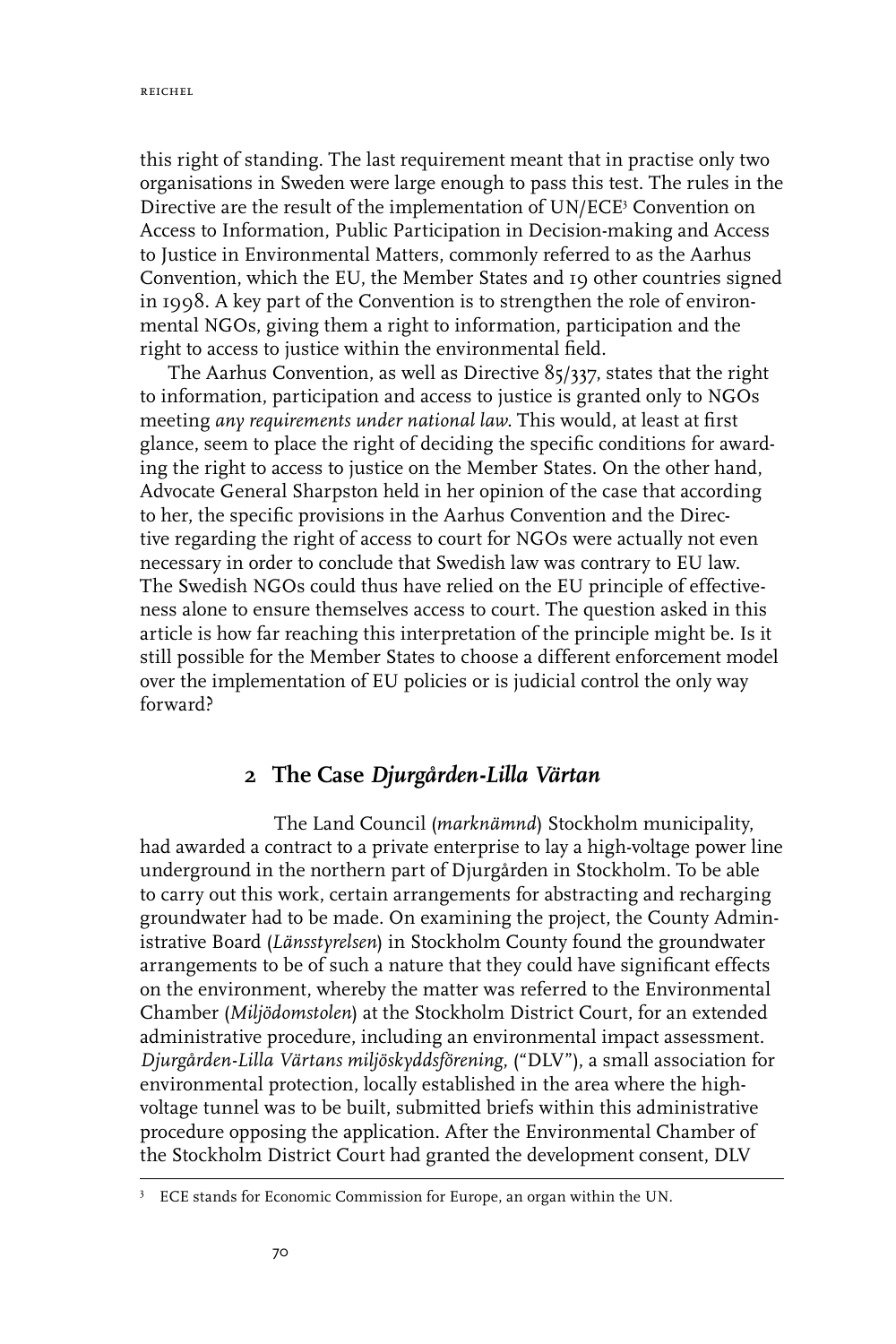this right of standing. The last requirement meant that in practise only two organisations in Sweden were large enough to pass this test. The rules in the Directive are the result of the implementation of UN/ECE<sup>3</sup> Convention on Access to Information, Public Participation in Decision-making and Access to Justice in Environmental Matters, commonly referred to as the Aarhus Convention, which the EU, the Member States and 19 other countries signed in 1998. A key part of the Convention is to strengthen the role of environmental NGOs, giving them a right to information, participation and the right to access to justice within the environmental field.

The Aarhus Convention, as well as Directive 85/337, states that the right to information, participation and access to justice is granted only to NGOs meeting *any requirements under national law.* This would, at least at first glance, seem to place the right of deciding the specific conditions for awarding the right to access to justice on the Member States. On the other hand, Advocate General Sharpston held in her opinion of the case that according to her, the specific provisions in the Aarhus Convention and the Directive regarding the right of access to court for NGOs were actually not even necessary in order to conclude that Swedish law was contrary to EU law. The Swedish NGOs could thus have relied on the EU principle of effectiveness alone to ensure themselves access to court. The question asked in this article is how far reaching this interpretation of the principle might be. Is it still possible for the Member States to choose a different enforcement model over the implementation of EU policies or is judicial control the only way forward?

## **2 The Case** *Djurgården-Lilla Värtan*

The Land Council (*marknämnd*) Stockholm municipality, had awarded a contract to a private enterprise to lay a high-voltage power line underground in the northern part of Djurgården in Stockholm. To be able to carry out this work, certain arrangements for abstracting and recharging groundwater had to be made. On examining the project, the County Administrative Board (*Länsstyrelsen*) in Stockholm County found the groundwater arrangements to be of such a nature that they could have significant effects on the environment, whereby the matter was referred to the Environmental Chamber (*Miljödomstolen*) at the Stockholm District Court, for an extended administrative procedure, including an environmental impact assessment. *Djurgården-Lilla Värtans miljöskyddsförening*, ("DLV"), a small association for environmental protection, locally established in the area where the highvoltage tunnel was to be built, submitted briefs within this administrative procedure opposing the application. After the Environmental Chamber of the Stockholm District Court had granted the development consent, DLV

<sup>&</sup>lt;sup>3</sup> ECE stands for Economic Commission for Europe, an organ within the UN.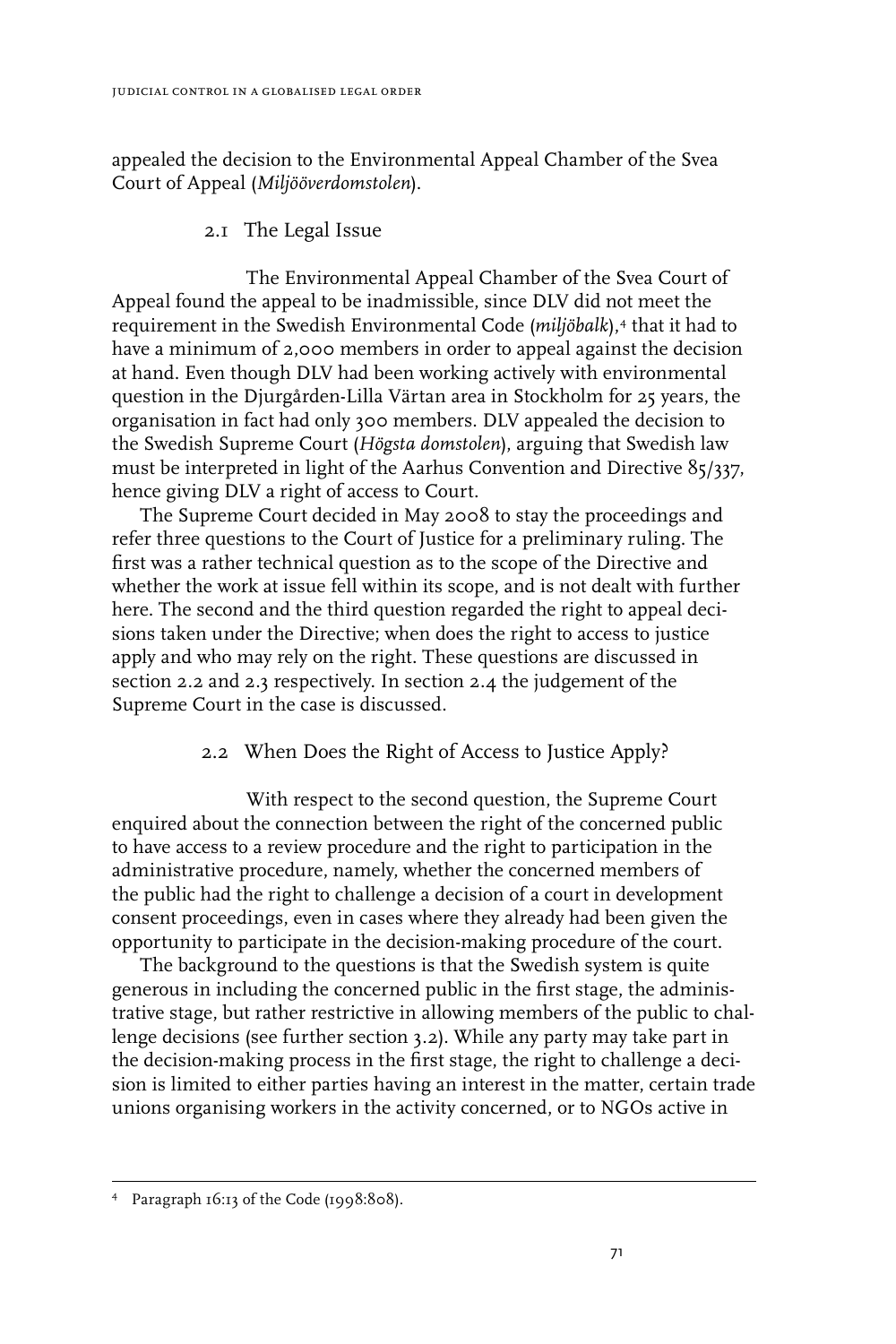appealed the decision to the Environmental Appeal Chamber of the Svea Court of Appeal (*Miljööverdomstolen*).

### 2.1 The Legal Issue

The Environmental Appeal Chamber of the Svea Court of Appeal found the appeal to be inadmissible, since DLV did not meet the requirement in the Swedish Environmental Code (*miljöbalk*),<sup>4</sup> that it had to have a minimum of 2,000 members in order to appeal against the decision at hand. Even though DLV had been working actively with environmental question in the Djurgården-Lilla Värtan area in Stockholm for 25 years, the organisation in fact had only 300 members. DLV appealed the decision to the Swedish Supreme Court (*Högsta domstolen*), arguing that Swedish law must be interpreted in light of the Aarhus Convention and Directive 85/337, hence giving DLV a right of access to Court.

The Supreme Court decided in May 2008 to stay the proceedings and refer three questions to the Court of Justice for a preliminary ruling. The first was a rather technical question as to the scope of the Directive and whether the work at issue fell within its scope, and is not dealt with further here. The second and the third question regarded the right to appeal decisions taken under the Directive; when does the right to access to justice apply and who may rely on the right. These questions are discussed in section 2.2 and 2.3 respectively. In section 2.4 the judgement of the Supreme Court in the case is discussed.

#### 2.2 When Does the Right of Access to Justice Apply?

With respect to the second question, the Supreme Court enquired about the connection between the right of the concerned public to have access to a review procedure and the right to participation in the administrative procedure, namely, whether the concerned members of the public had the right to challenge a decision of a court in development consent proceedings, even in cases where they already had been given the opportunity to participate in the decision-making procedure of the court.

The background to the questions is that the Swedish system is quite generous in including the concerned public in the first stage, the administrative stage, but rather restrictive in allowing members of the public to challenge decisions (see further section 3.2). While any party may take part in the decision-making process in the first stage, the right to challenge a decision is limited to either parties having an interest in the matter, certain trade unions organising workers in the activity concerned, or to NGOs active in

Paragraph 16:13 of the Code (1998:808).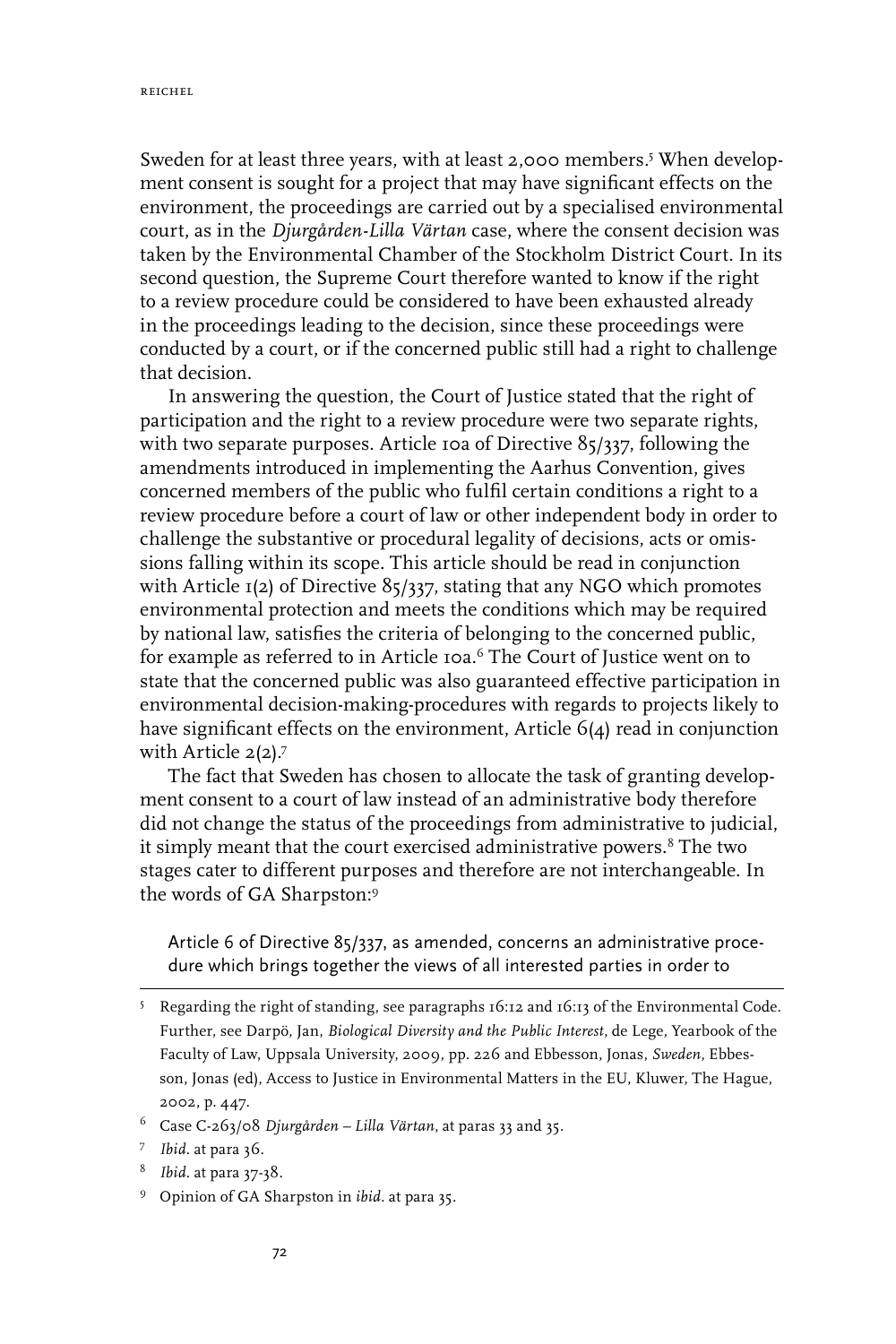reichel

Sweden for at least three years, with at least 2,000 members.<sup>5</sup> When development consent is sought for a project that may have significant effects on the environment, the proceedings are carried out by a specialised environmental court, as in the *Djurgården-Lilla Värtan* case, where the consent decision was taken by the Environmental Chamber of the Stockholm District Court. In its second question, the Supreme Court therefore wanted to know if the right to a review procedure could be considered to have been exhausted already in the proceedings leading to the decision, since these proceedings were conducted by a court, or if the concerned public still had a right to challenge that decision.

In answering the question, the Court of Justice stated that the right of participation and the right to a review procedure were two separate rights, with two separate purposes. Article 10a of Directive 85/337, following the amendments introduced in implementing the Aarhus Convention, gives concerned members of the public who fulfil certain conditions a right to a review procedure before a court of law or other independent body in order to challenge the substantive or procedural legality of decisions, acts or omissions falling within its scope. This article should be read in conjunction with Article  $I(2)$  of Directive 85/337, stating that any NGO which promotes environmental protection and meets the conditions which may be required by national law, satisfies the criteria of belonging to the concerned public, for example as referred to in Article 10a.<sup>6</sup> The Court of Justice went on to state that the concerned public was also guaranteed effective participation in environmental decision-making-procedures with regards to projects likely to have significant effects on the environment, Article 6(4) read in conjunction with Article 2(2).<sup>7</sup>

The fact that Sweden has chosen to allocate the task of granting development consent to a court of law instead of an administrative body therefore did not change the status of the proceedings from administrative to judicial, it simply meant that the court exercised administrative powers.<sup>8</sup> The two stages cater to different purposes and therefore are not interchangeable. In the words of GA Sharpston:

Article 6 of Directive 85/337, as amended, concerns an administrative procedure which brings together the views of all interested parties in order to

- *Ibid.* at para 37-38.
- Opinion of GA Sharpston in *ibid.* at para 35.

Regarding the right of standing, see paragraphs 16:12 and 16:13 of the Environmental Code. Further, see Darpö, Jan, *Biological Diversity and the Public Interest*, de Lege, Yearbook of the Faculty of Law, Uppsala University, 2009, pp. 226 and Ebbesson, Jonas, *Sweden*, Ebbesson, Jonas (ed), Access to Justice in Environmental Matters in the EU, Kluwer, The Hague, 2002, p. 447.

Case C-263/08 *Djurgården – Lilla Värtan*, at paras 33 and 35.

*Ibid.* at para 36.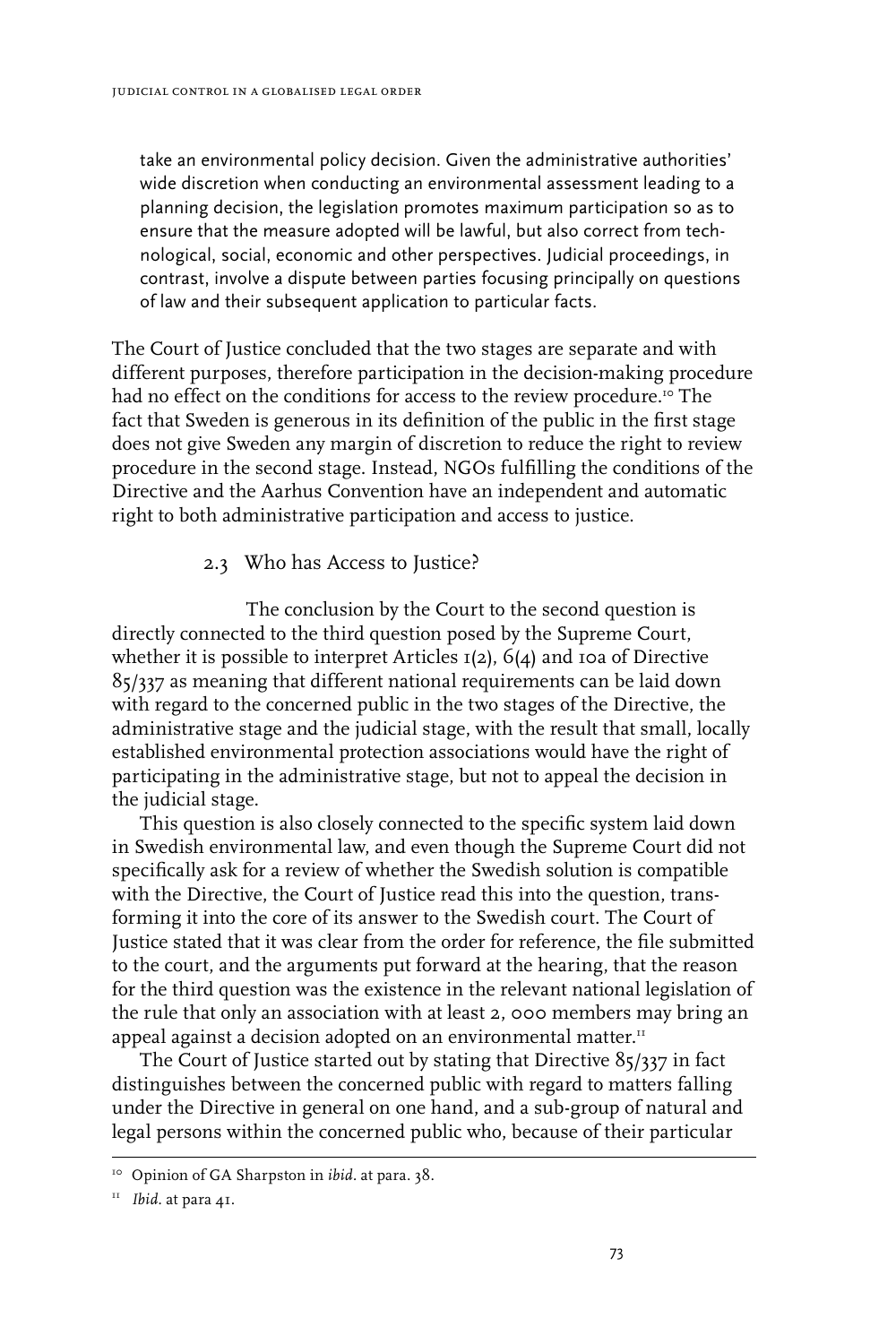take an environmental policy decision. Given the administrative authorities' wide discretion when conducting an environmental assessment leading to a planning decision, the legislation promotes maximum participation so as to ensure that the measure adopted will be lawful, but also correct from technological, social, economic and other perspectives. Judicial proceedings, in contrast, involve a dispute between parties focusing principally on questions of law and their subsequent application to particular facts.

The Court of Justice concluded that the two stages are separate and with different purposes, therefore participation in the decision-making procedure had no effect on the conditions for access to the review procedure.<sup>10</sup> The fact that Sweden is generous in its definition of the public in the first stage does not give Sweden any margin of discretion to reduce the right to review procedure in the second stage. Instead, NGOs fulfilling the conditions of the Directive and the Aarhus Convention have an independent and automatic right to both administrative participation and access to justice.

#### 2.3 Who has Access to Justice?

The conclusion by the Court to the second question is directly connected to the third question posed by the Supreme Court, whether it is possible to interpret Articles  $I(2)$ , 6(4) and 10a of Directive 85/337 as meaning that different national requirements can be laid down with regard to the concerned public in the two stages of the Directive, the administrative stage and the judicial stage, with the result that small, locally established environmental protection associations would have the right of participating in the administrative stage, but not to appeal the decision in the judicial stage.

This question is also closely connected to the specific system laid down in Swedish environmental law, and even though the Supreme Court did not specifically ask for a review of whether the Swedish solution is compatible with the Directive, the Court of Justice read this into the question, transforming it into the core of its answer to the Swedish court. The Court of Justice stated that it was clear from the order for reference, the file submitted to the court, and the arguments put forward at the hearing, that the reason for the third question was the existence in the relevant national legislation of the rule that only an association with at least 2, 000 members may bring an appeal against a decision adopted on an environmental matter.<sup>11</sup>

The Court of Justice started out by stating that Directive 85/337 in fact distinguishes between the concerned public with regard to matters falling under the Directive in general on one hand, and a sub-group of natural and legal persons within the concerned public who, because of their particular

<sup>10</sup> Opinion of GA Sharpston in *ibid.* at para. 38.

<sup>11</sup> *Ibid.* at para 41.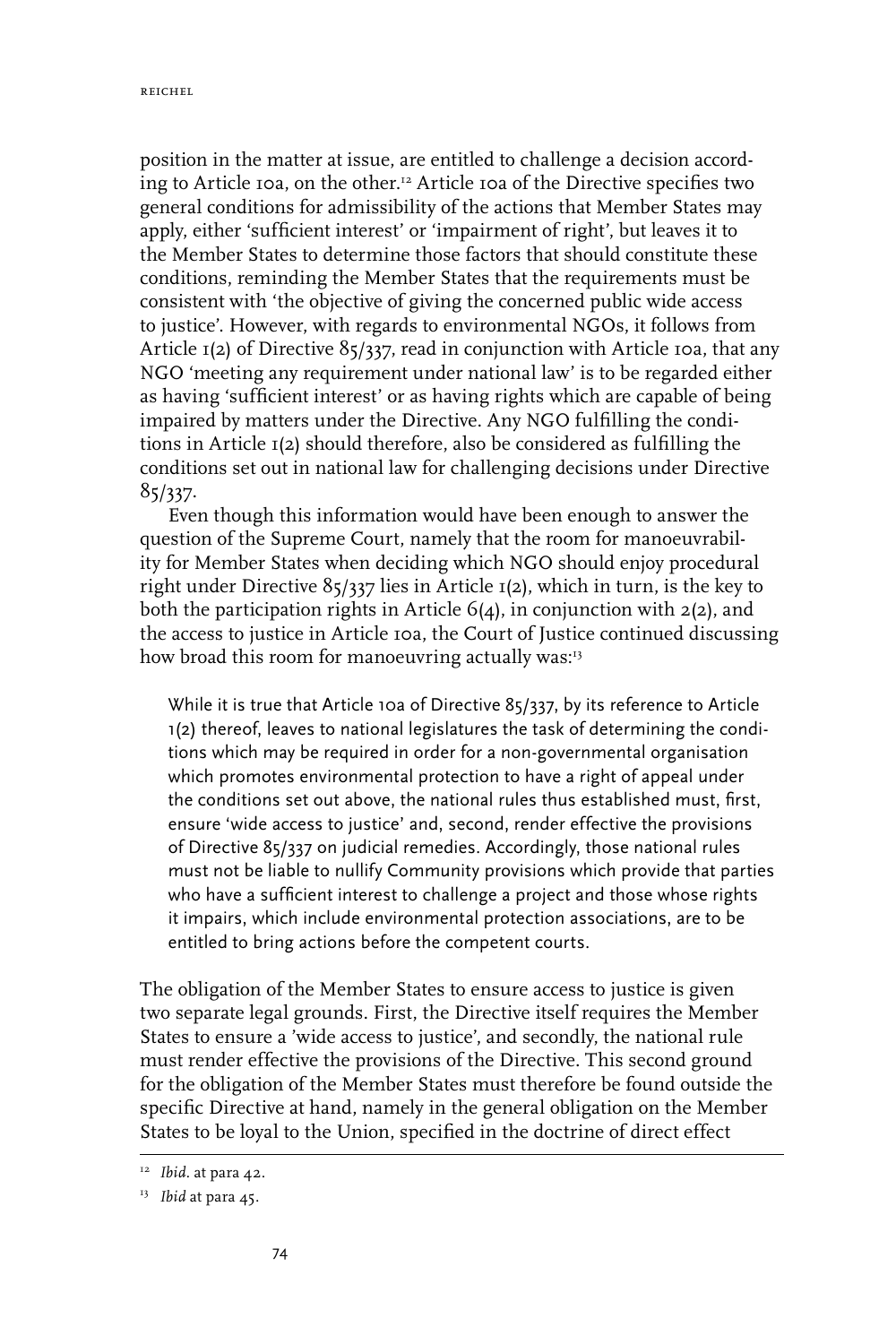position in the matter at issue, are entitled to challenge a decision according to Article 10a, on the other.12 Article 10a of the Directive specifies two general conditions for admissibility of the actions that Member States may apply, either 'sufficient interest' or 'impairment of right', but leaves it to the Member States to determine those factors that should constitute these conditions, reminding the Member States that the requirements must be consistent with 'the objective of giving the concerned public wide access to justice'. However, with regards to environmental NGOs, it follows from Article 1(2) of Directive 85/337, read in conjunction with Article 10a, that any NGO 'meeting any requirement under national law' is to be regarded either as having 'sufficient interest' or as having rights which are capable of being impaired by matters under the Directive. Any NGO fulfilling the conditions in Article 1(2) should therefore, also be considered as fulfilling the conditions set out in national law for challenging decisions under Directive 85/337.

Even though this information would have been enough to answer the question of the Supreme Court, namely that the room for manoeuvrability for Member States when deciding which NGO should enjoy procedural right under Directive 85/337 lies in Article 1(2), which in turn, is the key to both the participation rights in Article 6(4), in conjunction with 2(2), and the access to justice in Article 10a, the Court of Justice continued discussing how broad this room for manoeuvring actually was:<sup>13</sup>

While it is true that Article 10a of Directive 85/337, by its reference to Article 1(2) thereof, leaves to national legislatures the task of determining the conditions which may be required in order for a non-governmental organisation which promotes environmental protection to have a right of appeal under the conditions set out above, the national rules thus established must, first, ensure 'wide access to justice' and, second, render effective the provisions of Directive 85/337 on judicial remedies. Accordingly, those national rules must not be liable to nullify Community provisions which provide that parties who have a sufficient interest to challenge a project and those whose rights it impairs, which include environmental protection associations, are to be entitled to bring actions before the competent courts.

The obligation of the Member States to ensure access to justice is given two separate legal grounds. First, the Directive itself requires the Member States to ensure a 'wide access to justice', and secondly, the national rule must render effective the provisions of the Directive. This second ground for the obligation of the Member States must therefore be found outside the specific Directive at hand, namely in the general obligation on the Member States to be loyal to the Union, specified in the doctrine of direct effect

<sup>&</sup>lt;sup>12</sup> Ibid. at para 42.

<sup>13</sup> *Ibid* at para 45.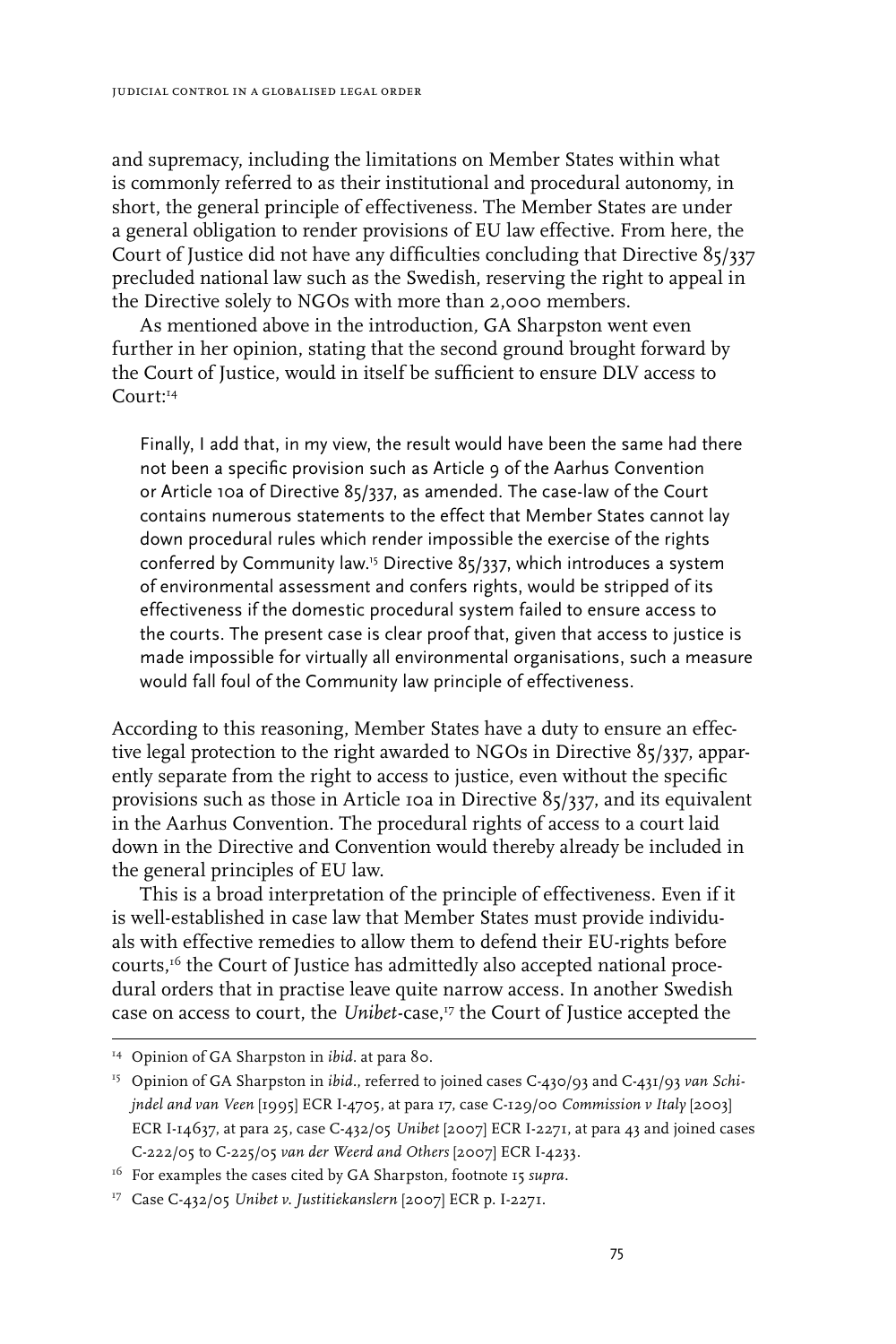and supremacy, including the limitations on Member States within what is commonly referred to as their institutional and procedural autonomy, in short, the general principle of effectiveness. The Member States are under a general obligation to render provisions of EU law effective. From here, the Court of Justice did not have any difficulties concluding that Directive 85/337 precluded national law such as the Swedish, reserving the right to appeal in the Directive solely to NGOs with more than 2,000 members.

As mentioned above in the introduction*,* GA Sharpston went even further in her opinion, stating that the second ground brought forward by the Court of Justice, would in itself be sufficient to ensure DLV access to  $Con1rt14}$ 

Finally, I add that, in my view, the result would have been the same had there not been a specific provision such as Article 9 of the Aarhus Convention or Article 10a of Directive 85/337, as amended. The case-law of the Court contains numerous statements to the effect that Member States cannot lay down procedural rules which render impossible the exercise of the rights conferred by Community law.15 Directive 85/337, which introduces a system of environmental assessment and confers rights, would be stripped of its effectiveness if the domestic procedural system failed to ensure access to the courts. The present case is clear proof that, given that access to justice is made impossible for virtually all environmental organisations, such a measure would fall foul of the Community law principle of effectiveness.

According to this reasoning, Member States have a duty to ensure an effective legal protection to the right awarded to NGOs in Directive 85/337, apparently separate from the right to access to justice, even without the specific provisions such as those in Article 10a in Directive 85/337, and its equivalent in the Aarhus Convention. The procedural rights of access to a court laid down in the Directive and Convention would thereby already be included in the general principles of EU law.

This is a broad interpretation of the principle of effectiveness. Even if it is well-established in case law that Member States must provide individuals with effective remedies to allow them to defend their EU-rights before courts,<sup>16</sup> the Court of Justice has admittedly also accepted national procedural orders that in practise leave quite narrow access. In another Swedish case on access to court, the *Unibet-*case,<sup>17</sup> the Court of Justice accepted the

<sup>14</sup> Opinion of GA Sharpston in *ibid.* at para 80.

<sup>15</sup> Opinion of GA Sharpston in *ibid.*, referred to joined cases C-430/93 and C-431/93 *van Schijndel and van Veen* [1995] ECR I-4705, at para 17, case C-129/00 *Commission v Italy* [2003] ECR I-14637, at para 25, case C-432/05 *Unibet* [2007] ECR I-2271, at para 43 and joined cases C-222/05 to C-225/05 *van der Weerd and Others* [2007] ECR I-4233.

<sup>16</sup> For examples the cases cited by GA Sharpston, footnote 15 *supra.*

<sup>17</sup> Case C-432/05 *Unibet v. Justitiekanslern* [2007] ECR p. I-2271.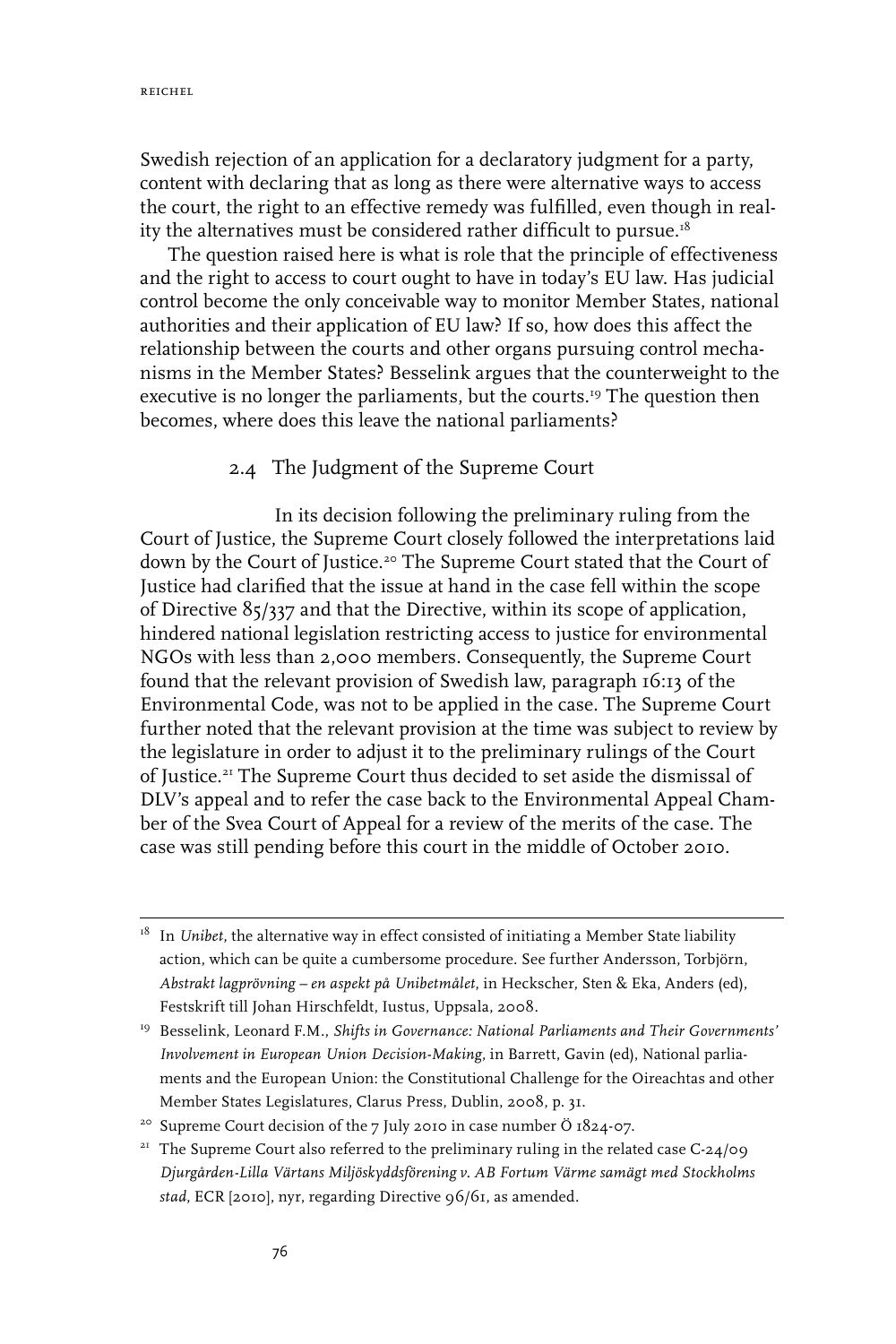Swedish rejection of an application for a declaratory judgment for a party, content with declaring that as long as there were alternative ways to access the court, the right to an effective remedy was fulfilled, even though in reality the alternatives must be considered rather difficult to pursue.<sup>18</sup>

The question raised here is what is role that the principle of effectiveness and the right to access to court ought to have in today's EU law. Has judicial control become the only conceivable way to monitor Member States, national authorities and their application of EU law? If so, how does this affect the relationship between the courts and other organs pursuing control mechanisms in the Member States? Besselink argues that the counterweight to the executive is no longer the parliaments, but the courts.<sup>19</sup> The question then becomes, where does this leave the national parliaments?

#### 2.4 The Judgment of the Supreme Court

In its decision following the preliminary ruling from the Court of Justice, the Supreme Court closely followed the interpretations laid down by the Court of Justice.<sup>20</sup> The Supreme Court stated that the Court of Justice had clarified that the issue at hand in the case fell within the scope of Directive 85/337 and that the Directive, within its scope of application, hindered national legislation restricting access to justice for environmental NGOs with less than 2,000 members. Consequently, the Supreme Court found that the relevant provision of Swedish law, paragraph 16:13 of the Environmental Code, was not to be applied in the case. The Supreme Court further noted that the relevant provision at the time was subject to review by the legislature in order to adjust it to the preliminary rulings of the Court of Justice.21 The Supreme Court thus decided to set aside the dismissal of DLV's appeal and to refer the case back to the Environmental Appeal Chamber of the Svea Court of Appeal for a review of the merits of the case. The case was still pending before this court in the middle of October 2010.

<sup>18</sup> In *Unibet*, the alternative way in effect consisted of initiating a Member State liability action, which can be quite a cumbersome procedure. See further Andersson, Torbjörn, *Abstrakt lagprövning – en aspekt på Unibetmålet*, in Heckscher, Sten & Eka, Anders (ed), Festskrift till Johan Hirschfeldt, Iustus, Uppsala, 2008.

<sup>19</sup> Besselink, Leonard F.M., *Shifts in Governance: National Parliaments and Their Governments' Involvement in European Union Decision-Making*, in Barrett, Gavin (ed), National parliaments and the European Union: the Constitutional Challenge for the Oireachtas and other Member States Legislatures, Clarus Press, Dublin, 2008, p. 31.

<sup>&</sup>lt;sup>20</sup> Supreme Court decision of the 7 July 2010 in case number Ö 1824-07.

<sup>&</sup>lt;sup>21</sup> The Supreme Court also referred to the preliminary ruling in the related case C-24/09 *Djurgården-Lilla Värtans Miljöskyddsförening v. AB Fortum Värme samägt med Stockholms stad*, ECR [2010], nyr, regarding Directive 96/61, as amended.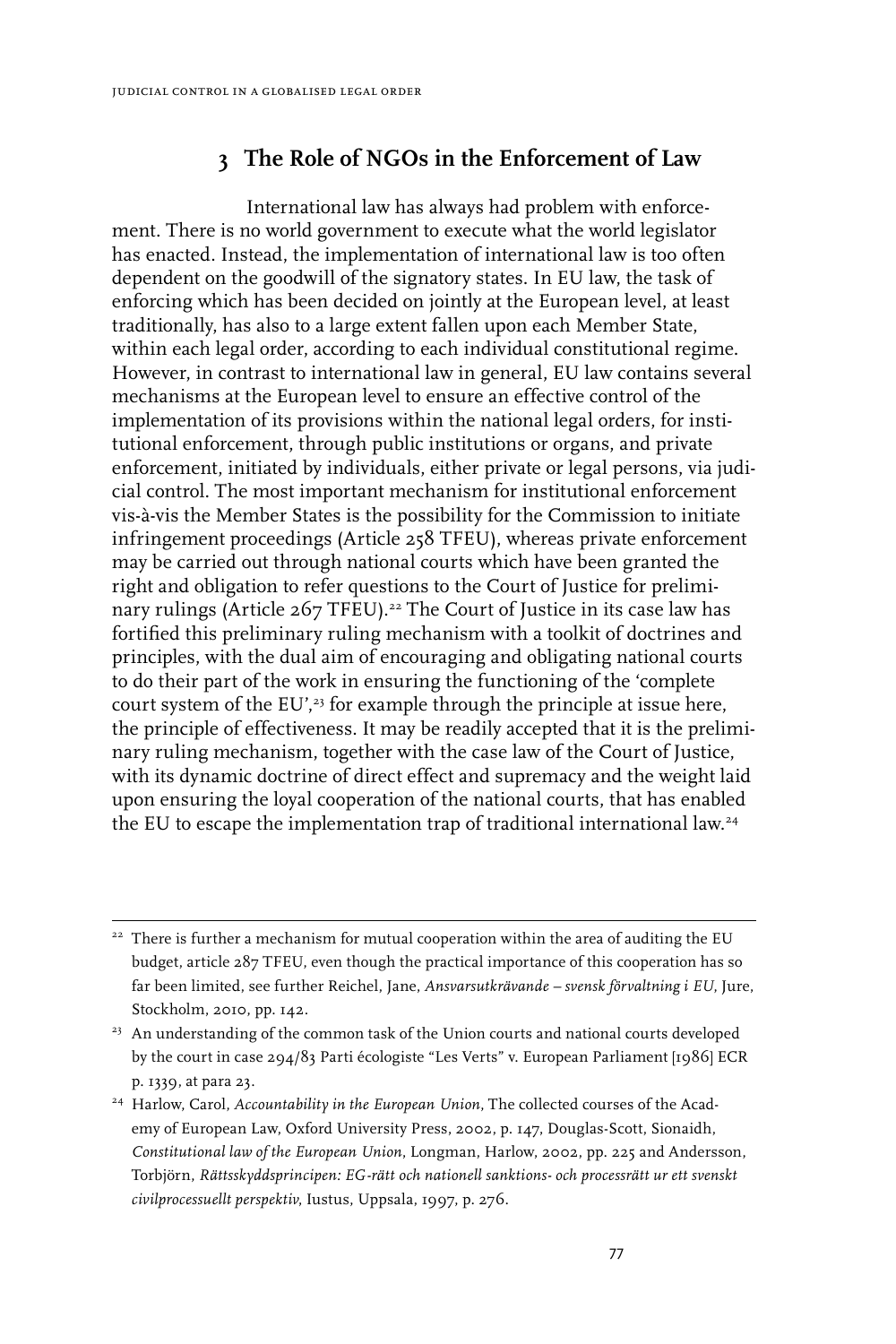# **3 The Role of NGOs in the Enforcement of Law**

International law has always had problem with enforcement. There is no world government to execute what the world legislator has enacted. Instead, the implementation of international law is too often dependent on the goodwill of the signatory states. In EU law, the task of enforcing which has been decided on jointly at the European level, at least traditionally, has also to a large extent fallen upon each Member State, within each legal order, according to each individual constitutional regime. However, in contrast to international law in general, EU law contains several mechanisms at the European level to ensure an effective control of the implementation of its provisions within the national legal orders, for institutional enforcement, through public institutions or organs, and private enforcement, initiated by individuals, either private or legal persons, via judicial control. The most important mechanism for institutional enforcement vis-à-vis the Member States is the possibility for the Commission to initiate infringement proceedings (Article 258 TFEU), whereas private enforcement may be carried out through national courts which have been granted the right and obligation to refer questions to the Court of Justice for preliminary rulings (Article 267 TFEU).<sup>22</sup> The Court of Justice in its case law has fortified this preliminary ruling mechanism with a toolkit of doctrines and principles, with the dual aim of encouraging and obligating national courts to do their part of the work in ensuring the functioning of the 'complete court system of the EU',<sup>23</sup> for example through the principle at issue here, the principle of effectiveness. It may be readily accepted that it is the preliminary ruling mechanism, together with the case law of the Court of Justice, with its dynamic doctrine of direct effect and supremacy and the weight laid upon ensuring the loyal cooperation of the national courts, that has enabled the EU to escape the implementation trap of traditional international law.<sup>24</sup>

<sup>&</sup>lt;sup>22</sup> There is further a mechanism for mutual cooperation within the area of auditing the EU budget, article 287 TFEU, even though the practical importance of this cooperation has so far been limited, see further Reichel, Jane, *Ansvarsutkrävande – svensk förvaltning i EU*, Jure, Stockholm, 2010, pp. 142.

<sup>&</sup>lt;sup>23</sup> An understanding of the common task of the Union courts and national courts developed by the court in case 294/83 Parti écologiste "Les Verts" v. European Parliament [1986] ECR p. 1339, at para 23.

<sup>&</sup>lt;sup>24</sup> Harlow, Carol, *Accountability in the European Union*, The collected courses of the Academy of European Law, Oxford University Press, 2002, p. 147, Douglas-Scott, Sionaidh, *Constitutional law of the European Union*, Longman, Harlow, 2002, pp. 225 and Andersson, Torbjörn, *Rättsskyddsprincipen: EG-rätt och nationell sanktions- och processrätt ur ett svenskt civilprocessuellt perspektiv*, Iustus, Uppsala, 1997, p. 276.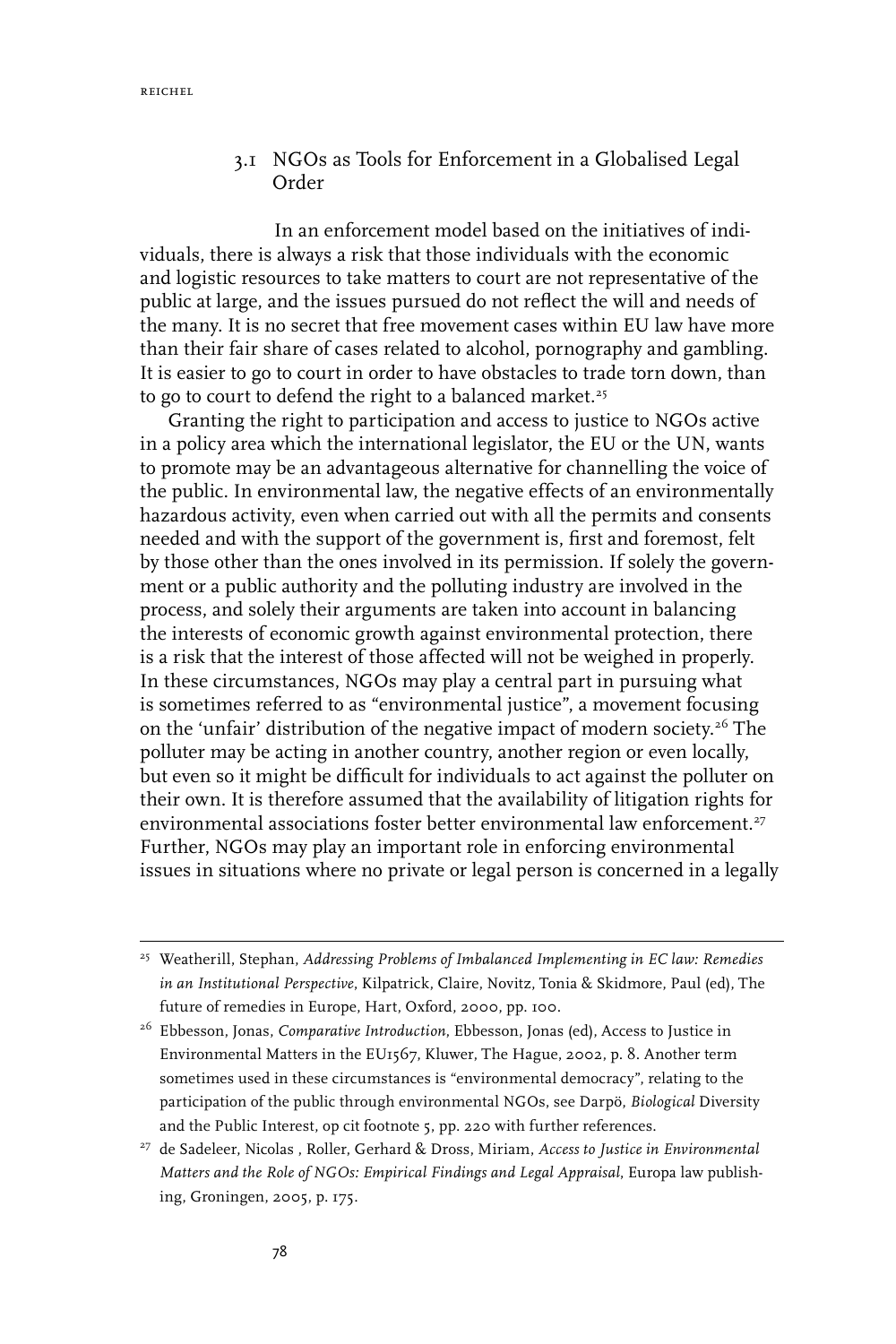#### 3.1 NGOs as Tools for Enforcement in a Globalised Legal Order

In an enforcement model based on the initiatives of individuals, there is always a risk that those individuals with the economic and logistic resources to take matters to court are not representative of the public at large, and the issues pursued do not reflect the will and needs of the many. It is no secret that free movement cases within EU law have more than their fair share of cases related to alcohol, pornography and gambling. It is easier to go to court in order to have obstacles to trade torn down, than to go to court to defend the right to a balanced market.<sup>25</sup>

Granting the right to participation and access to justice to NGOs active in a policy area which the international legislator, the EU or the UN, wants to promote may be an advantageous alternative for channelling the voice of the public. In environmental law, the negative effects of an environmentally hazardous activity, even when carried out with all the permits and consents needed and with the support of the government is, first and foremost, felt by those other than the ones involved in its permission. If solely the government or a public authority and the polluting industry are involved in the process, and solely their arguments are taken into account in balancing the interests of economic growth against environmental protection, there is a risk that the interest of those affected will not be weighed in properly. In these circumstances, NGOs may play a central part in pursuing what is sometimes referred to as "environmental justice", a movement focusing on the 'unfair' distribution of the negative impact of modern society.<sup>26</sup> The polluter may be acting in another country, another region or even locally, but even so it might be difficult for individuals to act against the polluter on their own. It is therefore assumed that the availability of litigation rights for environmental associations foster better environmental law enforcement.<sup>27</sup> Further, NGOs may play an important role in enforcing environmental issues in situations where no private or legal person is concerned in a legally

<sup>25</sup> Weatherill, Stephan, *Addressing Problems of Imbalanced Implementing in EC law: Remedies in an Institutional Perspective*, Kilpatrick, Claire, Novitz, Tonia & Skidmore, Paul (ed), The future of remedies in Europe, Hart, Oxford, 2000, pp. 100.

<sup>26</sup> Ebbesson, Jonas, *Comparative Introduction*, Ebbesson, Jonas (ed), Access to Justice in Environmental Matters in the EU1567, Kluwer, The Hague, 2002, p. 8. Another term sometimes used in these circumstances is "environmental democracy", relating to the participation of the public through environmental NGOs, see Darpö, *Biological* Diversity and the Public Interest, op cit footnote 5, pp. 220 with further references.

<sup>27</sup> de Sadeleer, Nicolas , Roller, Gerhard & Dross, Miriam, *Access to Justice in Environmental Matters and the Role of NGOs: Empirical Findings and Legal Appraisal*, Europa law publishing, Groningen, 2005, p. 175.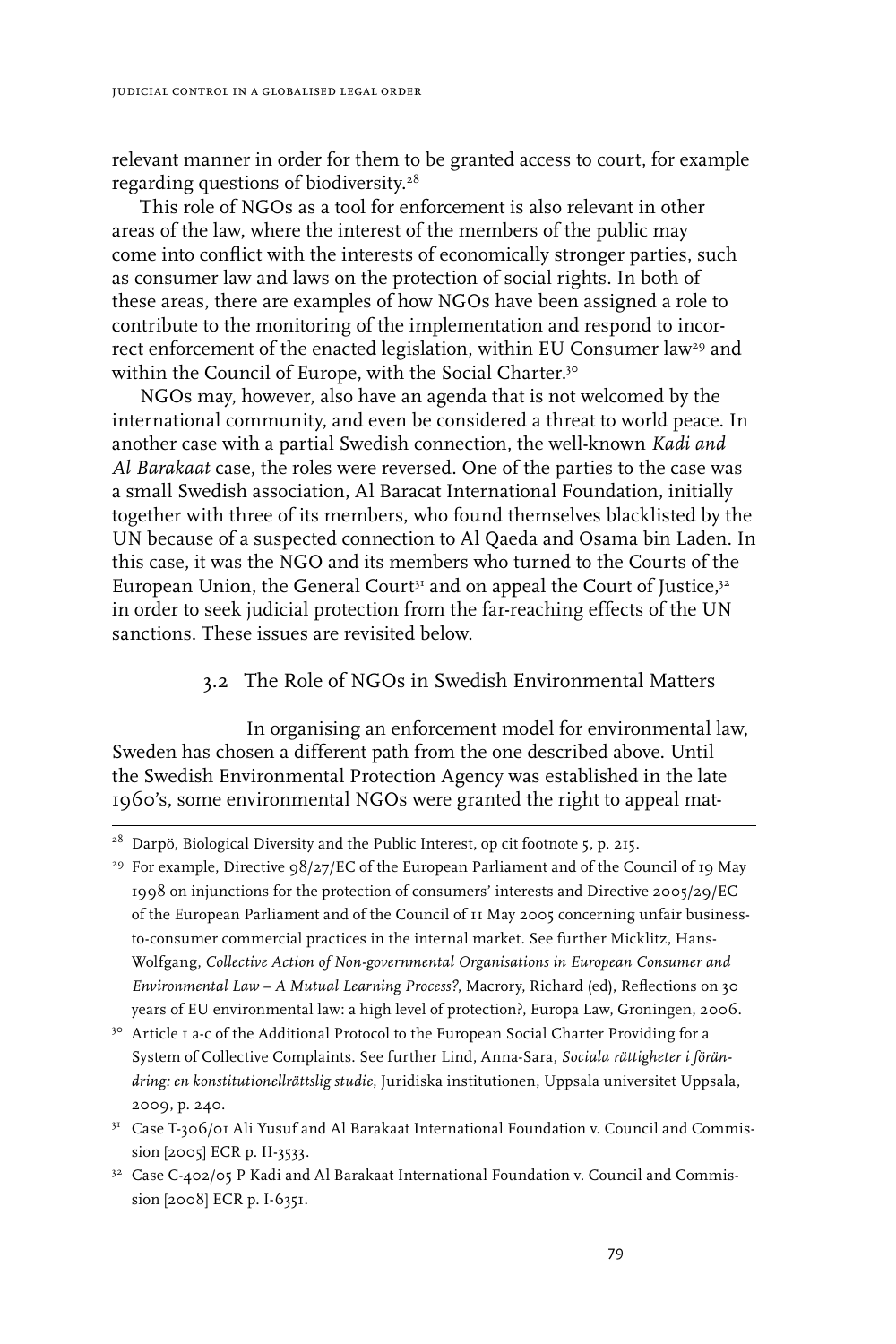relevant manner in order for them to be granted access to court, for example regarding questions of biodiversity.28

This role of NGOs as a tool for enforcement is also relevant in other areas of the law, where the interest of the members of the public may come into conflict with the interests of economically stronger parties, such as consumer law and laws on the protection of social rights. In both of these areas, there are examples of how NGOs have been assigned a role to contribute to the monitoring of the implementation and respond to incorrect enforcement of the enacted legislation, within EU Consumer law<sup>29</sup> and within the Council of Europe, with the Social Charter.<sup>30</sup>

NGOs may, however, also have an agenda that is not welcomed by the international community, and even be considered a threat to world peace. In another case with a partial Swedish connection, the well-known *Kadi and Al Barakaat* case, the roles were reversed. One of the parties to the case was a small Swedish association, Al Baracat International Foundation, initially together with three of its members, who found themselves blacklisted by the UN because of a suspected connection to Al Qaeda and Osama bin Laden. In this case, it was the NGO and its members who turned to the Courts of the European Union, the General Court $^{\mathfrak{z}\mathfrak{z}}$  and on appeal the Court of Justice, $^{\mathfrak{z}\mathfrak{z}}$ in order to seek judicial protection from the far-reaching effects of the UN sanctions. These issues are revisited below.

#### 3.2 The Role of NGOs in Swedish Environmental Matters

In organising an enforcement model for environmental law, Sweden has chosen a different path from the one described above. Until the Swedish Environmental Protection Agency was established in the late 1960's, some environmental NGOs were granted the right to appeal mat-

<sup>&</sup>lt;sup>28</sup> Darpö, Biological Diversity and the Public Interest, op cit footnote 5, p. 215.

<sup>&</sup>lt;sup>29</sup> For example, Directive  $98/27/EC$  of the European Parliament and of the Council of 19 May 1998 on injunctions for the protection of consumers' interests and Directive 2005/29/EC of the European Parliament and of the Council of 11 May 2005 concerning unfair businessto-consumer commercial practices in the internal market. See further Micklitz, Hans-Wolfgang, *Collective Action of Non-governmental Organisations in European Consumer and Environmental Law – A Mutual Learning Process?*, Macrory, Richard (ed), Reflections on 30 years of EU environmental law: a high level of protection?, Europa Law, Groningen, 2006.

<sup>&</sup>lt;sup>30</sup> Article I a-c of the Additional Protocol to the European Social Charter Providing for a System of Collective Complaints. See further Lind, Anna-Sara, *Sociala rättigheter i förändring: en konstitutionellrättslig studie*, Juridiska institutionen, Uppsala universitet Uppsala, 2009, p. 240.

<sup>31</sup> Case T-306/01 Ali Yusuf and Al Barakaat International Foundation v. Council and Commission [2005] ECR p. II-3533.

<sup>&</sup>lt;sup>32</sup> Case C-402/05 P Kadi and Al Barakaat International Foundation v. Council and Commission [2008] ECR p. I-6351.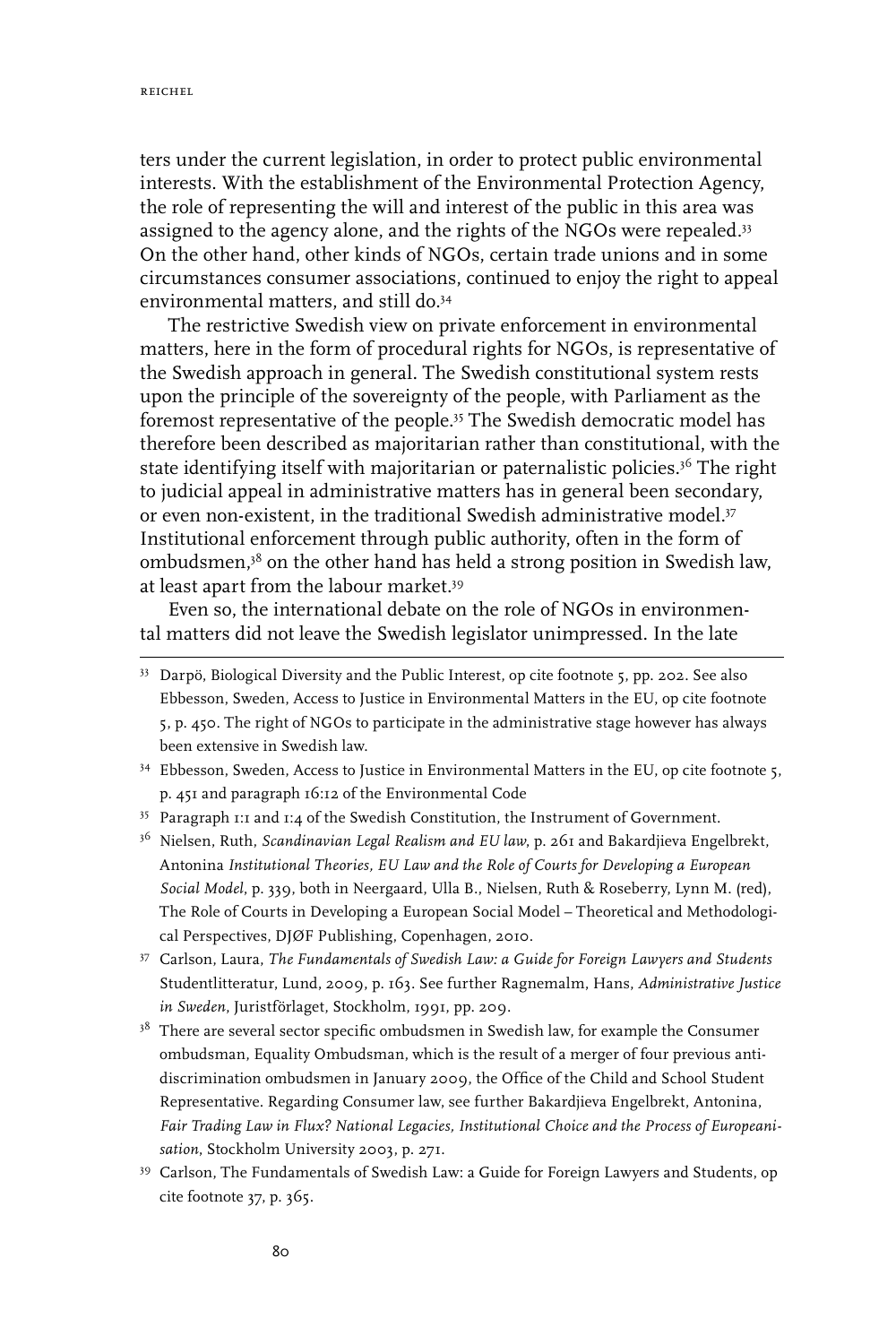ters under the current legislation, in order to protect public environmental interests. With the establishment of the Environmental Protection Agency, the role of representing the will and interest of the public in this area was assigned to the agency alone, and the rights of the NGOs were repealed.<sup>33</sup> On the other hand, other kinds of NGOs, certain trade unions and in some circumstances consumer associations, continued to enjoy the right to appeal environmental matters, and still do.34

The restrictive Swedish view on private enforcement in environmental matters, here in the form of procedural rights for NGOs, is representative of the Swedish approach in general. The Swedish constitutional system rests upon the principle of the sovereignty of the people, with Parliament as the foremost representative of the people.35 The Swedish democratic model has therefore been described as majoritarian rather than constitutional, with the state identifying itself with majoritarian or paternalistic policies.<sup>36</sup> The right to judicial appeal in administrative matters has in general been secondary, or even non-existent, in the traditional Swedish administrative model.<sup>37</sup> Institutional enforcement through public authority, often in the form of ombudsmen,38 on the other hand has held a strong position in Swedish law, at least apart from the labour market.39

Even so, the international debate on the role of NGOs in environmental matters did not leave the Swedish legislator unimpressed. In the late

- <sup>34</sup> Ebbesson, Sweden, Access to Justice in Environmental Matters in the EU, op cite footnote 5, p. 451 and paragraph 16:12 of the Environmental Code
- <sup>35</sup> Paragraph 1:1 and 1:4 of the Swedish Constitution, the Instrument of Government.
- 36 Nielsen, Ruth, *Scandinavian Legal Realism and EU law*, p. 261 and Bakardjieva Engelbrekt, Antonina *Institutional Theories, EU Law and the Role of Courts for Developing a European Social Model*, p. 339, both in Neergaard, Ulla B., Nielsen, Ruth & Roseberry, Lynn M. (red), The Role of Courts in Developing a European Social Model – Theoretical and Methodological Perspectives, DJØF Publishing, Copenhagen, 2010.
- 37 Carlson, Laura, *The Fundamentals of Swedish Law: a Guide for Foreign Lawyers and Students*  Studentlitteratur, Lund, 2009, p. 163. See further Ragnemalm, Hans, *Administrative Justice in Sweden*, Juristförlaget, Stockholm, 1991, pp. 209.
- $38$  There are several sector specific ombudsmen in Swedish law, for example the Consumer ombudsman, Equality Ombudsman, which is the result of a merger of four previous antidiscrimination ombudsmen in January 2009, the Office of the Child and School Student Representative. Regarding Consumer law, see further Bakardjieva Engelbrekt, Antonina, *Fair Trading Law in Flux? National Legacies, Institutional Choice and the Process of Europeanisation*, Stockholm University 2003, p. 271.
- 39 Carlson, The Fundamentals of Swedish Law: a Guide for Foreign Lawyers and Students, op cite footnote 37, p. 365.

<sup>33</sup> Darpö, Biological Diversity and the Public Interest, op cite footnote 5, pp. 202. See also Ebbesson, Sweden, Access to Justice in Environmental Matters in the EU, op cite footnote 5, p. 450. The right of NGOs to participate in the administrative stage however has always been extensive in Swedish law.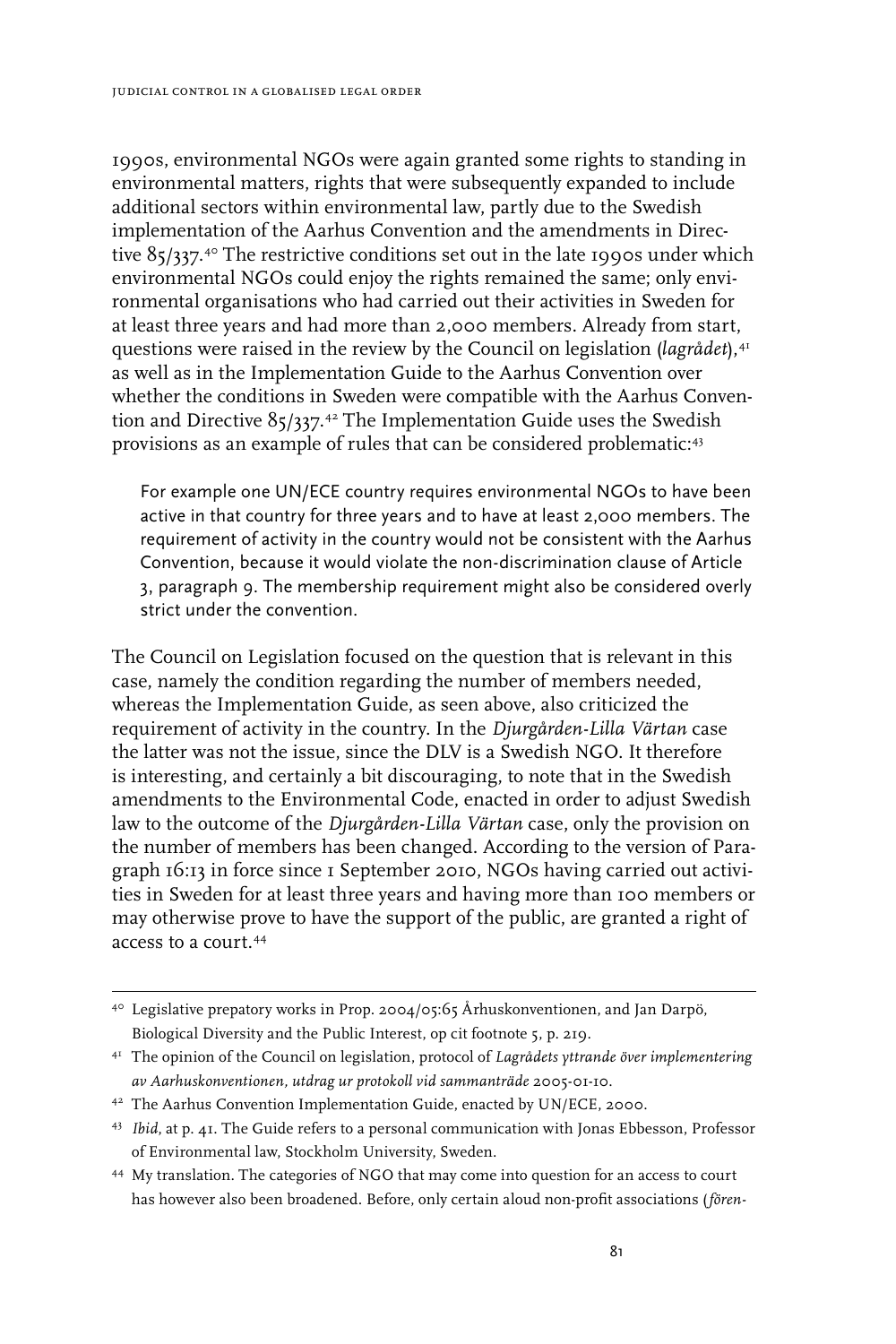1990s, environmental NGOs were again granted some rights to standing in environmental matters, rights that were subsequently expanded to include additional sectors within environmental law, partly due to the Swedish implementation of the Aarhus Convention and the amendments in Directive 85/337.<sup>4°</sup> The restrictive conditions set out in the late 1990s under which environmental NGOs could enjoy the rights remained the same; only environmental organisations who had carried out their activities in Sweden for at least three years and had more than 2,000 members. Already from start, questions were raised in the review by the Council on legislation (*lagrådet*),<sup>41</sup> as well as in the Implementation Guide to the Aarhus Convention over whether the conditions in Sweden were compatible with the Aarhus Convention and Directive 85/337.42 The Implementation Guide uses the Swedish provisions as an example of rules that can be considered problematic:<sup>43</sup>

For example one UN/ECE country requires environmental NGOs to have been active in that country for three years and to have at least 2,000 members. The requirement of activity in the country would not be consistent with the Aarhus Convention, because it would violate the non-discrimination clause of Article 3, paragraph 9. The membership requirement might also be considered overly strict under the convention.

The Council on Legislation focused on the question that is relevant in this case, namely the condition regarding the number of members needed, whereas the Implementation Guide, as seen above, also criticized the requirement of activity in the country. In the *Djurgården-Lilla Värtan* case the latter was not the issue, since the DLV is a Swedish NGO. It therefore is interesting, and certainly a bit discouraging, to note that in the Swedish amendments to the Environmental Code, enacted in order to adjust Swedish law to the outcome of the *Djurgården-Lilla Värtan* case, only the provision on the number of members has been changed. According to the version of Paragraph 16:13 in force since 1 September 2010, NGOs having carried out activities in Sweden for at least three years and having more than 100 members or may otherwise prove to have the support of the public, are granted a right of access to a court.44

<sup>40</sup> Legislative prepatory works in Prop. 2004/05:65 Århuskonventionen, and Jan Darpö, Biological Diversity and the Public Interest, op cit footnote 5, p. 219.

<sup>41</sup> The opinion of the Council on legislation, protocol of *Lagrådets yttrande över implementering av Aarhuskonventionen, utdrag ur protokoll vid sammanträde* 2005-01-10.

<sup>42</sup> The Aarhus Convention Implementation Guide, enacted by UN/ECE, 2000.

<sup>43</sup> *Ibid*, at p. 41. The Guide refers to a personal communication with Jonas Ebbesson, Professor of Environmental law, Stockholm University, Sweden.

<sup>44</sup> My translation. The categories of NGO that may come into question for an access to court has however also been broadened. Before, only certain aloud non-profit associations (*fören-*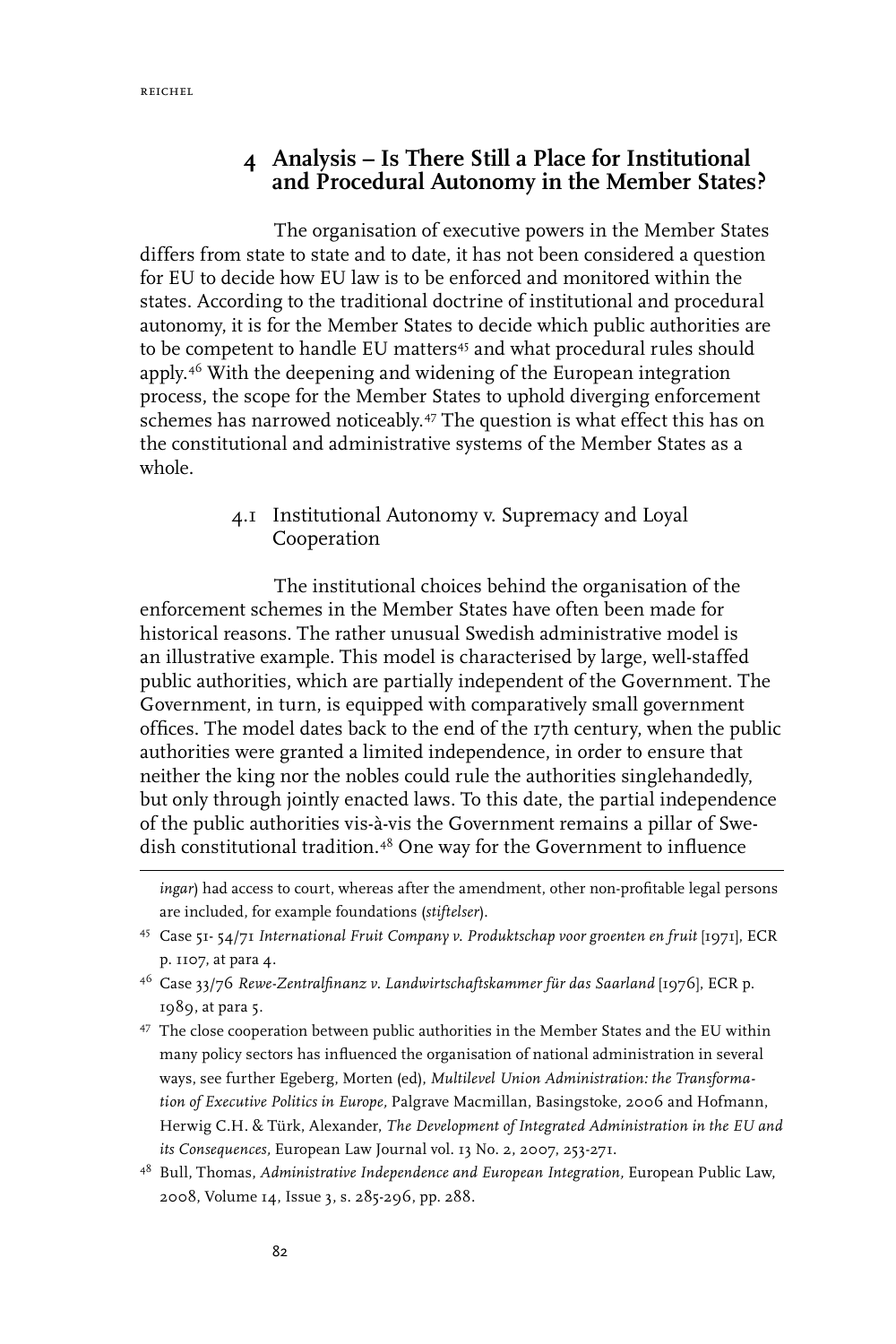## **4 Analysis – Is There Still a Place for Institutional**  and Procedural Autonomy in the Member States?

The organisation of executive powers in the Member States differs from state to state and to date, it has not been considered a question for EU to decide how EU law is to be enforced and monitored within the states. According to the traditional doctrine of institutional and procedural autonomy, it is for the Member States to decide which public authorities are to be competent to handle EU matters<sup>45</sup> and what procedural rules should apply.46 With the deepening and widening of the European integration process, the scope for the Member States to uphold diverging enforcement schemes has narrowed noticeably.47 The question is what effect this has on the constitutional and administrative systems of the Member States as a whole.

## 4.1 Institutional Autonomy v. Supremacy and Loyal Cooperation

The institutional choices behind the organisation of the enforcement schemes in the Member States have often been made for historical reasons. The rather unusual Swedish administrative model is an illustrative example. This model is characterised by large, well-staffed public authorities, which are partially independent of the Government. The Government, in turn, is equipped with comparatively small government offices. The model dates back to the end of the 17th century, when the public authorities were granted a limited independence, in order to ensure that neither the king nor the nobles could rule the authorities singlehandedly, but only through jointly enacted laws. To this date, the partial independence of the public authorities vis-à-vis the Government remains a pillar of Swedish constitutional tradition.48 One way for the Government to influence

*ingar*) had access to court, whereas after the amendment, other non-profitable legal persons are included, for example foundations (*stiftelser*).

<sup>45</sup> Case 51- 54/71 *International Fruit Company v. Produktschap voor groenten en fruit* [1971], ECR p. 1107, at para 4.

<sup>46</sup> Case 33/76 *Rewe-Zentralfinanz v. Landwirtschaftskammer für das Saarland* [1976], ECR p. 1989, at para 5.

<sup>47</sup> The close cooperation between public authorities in the Member States and the EU within many policy sectors has influenced the organisation of national administration in several ways, see further Egeberg, Morten (ed), *Multilevel Union Administration: the Transformation of Executive Politics in Europe,* Palgrave Macmillan, Basingstoke, 2006 and Hofmann, Herwig C.H. & Türk, Alexander, *The Development of Integrated Administration in the EU and its Consequences,* European Law Journal vol. 13 No. 2, 2007, 253-271.

<sup>48</sup> Bull, Thomas, *Administrative Independence and European Integration,* European Public Law, 2008, Volume 14, Issue 3, s. 285-296, pp. 288.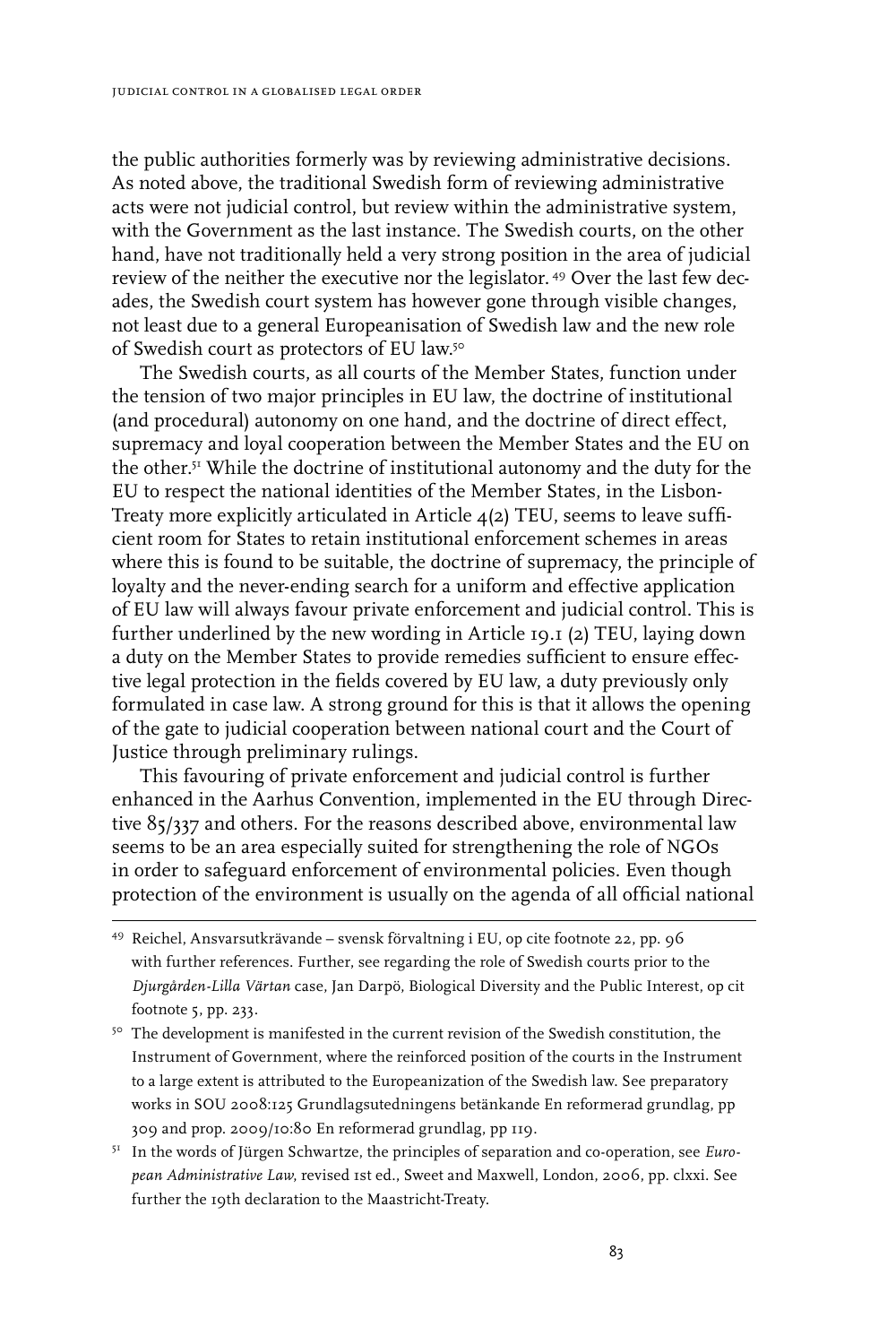the public authorities formerly was by reviewing administrative decisions. As noted above, the traditional Swedish form of reviewing administrative acts were not judicial control, but review within the administrative system, with the Government as the last instance. The Swedish courts, on the other hand, have not traditionally held a very strong position in the area of judicial review of the neither the executive nor the legislator. 49 Over the last few decades, the Swedish court system has however gone through visible changes, not least due to a general Europeanisation of Swedish law and the new role of Swedish court as protectors of EU law.50

The Swedish courts, as all courts of the Member States, function under the tension of two major principles in EU law, the doctrine of institutional (and procedural) autonomy on one hand, and the doctrine of direct effect, supremacy and loyal cooperation between the Member States and the EU on the other.51 While the doctrine of institutional autonomy and the duty for the EU to respect the national identities of the Member States, in the Lisbon-Treaty more explicitly articulated in Article 4(2) TEU, seems to leave sufficient room for States to retain institutional enforcement schemes in areas where this is found to be suitable, the doctrine of supremacy, the principle of loyalty and the never-ending search for a uniform and effective application of EU law will always favour private enforcement and judicial control. This is further underlined by the new wording in Article 19.1 (2) TEU, laying down a duty on the Member States to provide remedies sufficient to ensure effective legal protection in the fields covered by EU law, a duty previously only formulated in case law. A strong ground for this is that it allows the opening of the gate to judicial cooperation between national court and the Court of Justice through preliminary rulings.

This favouring of private enforcement and judicial control is further enhanced in the Aarhus Convention, implemented in the EU through Directive 85/337 and others. For the reasons described above, environmental law seems to be an area especially suited for strengthening the role of NGOs in order to safeguard enforcement of environmental policies. Even though protection of the environment is usually on the agenda of all official national

- 49 Reichel, Ansvarsutkrävande svensk förvaltning i EU, op cite footnote 22, pp. 96 with further references. Further, see regarding the role of Swedish courts prior to the *Djurgården-Lilla Värtan* case, Jan Darpö, Biological Diversity and the Public Interest, op cit footnote 5, pp. 233.
- <sup>50</sup> The development is manifested in the current revision of the Swedish constitution, the Instrument of Government, where the reinforced position of the courts in the Instrument to a large extent is attributed to the Europeanization of the Swedish law. See preparatory works in SOU 2008:125 Grundlagsutedningens betänkande En reformerad grundlag, pp 309 and prop. 2009/10:80 En reformerad grundlag, pp 119.
- 51 In the words of Jürgen Schwartze, the principles of separation and co-operation, see *European Administrative Law*, revised 1st ed., Sweet and Maxwell, London, 2006, pp. clxxi. See further the 19th declaration to the Maastricht-Treaty.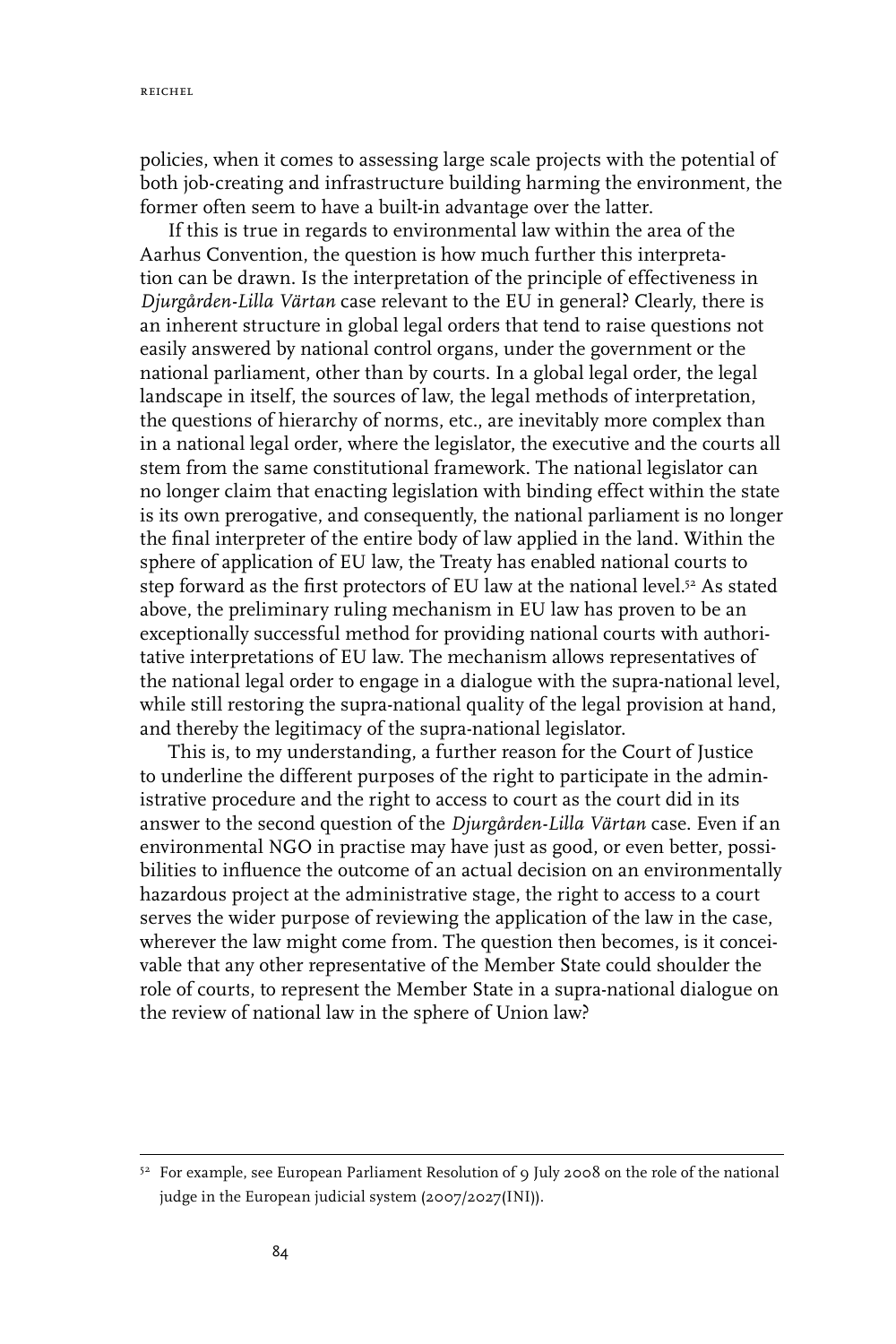reichel

policies, when it comes to assessing large scale projects with the potential of both job-creating and infrastructure building harming the environment, the former often seem to have a built-in advantage over the latter.

If this is true in regards to environmental law within the area of the Aarhus Convention, the question is how much further this interpretation can be drawn. Is the interpretation of the principle of effectiveness in *Djurgården-Lilla Värtan* case relevant to the EU in general? Clearly, there is an inherent structure in global legal orders that tend to raise questions not easily answered by national control organs, under the government or the national parliament, other than by courts. In a global legal order, the legal landscape in itself, the sources of law, the legal methods of interpretation, the questions of hierarchy of norms, etc., are inevitably more complex than in a national legal order, where the legislator, the executive and the courts all stem from the same constitutional framework. The national legislator can no longer claim that enacting legislation with binding effect within the state is its own prerogative, and consequently, the national parliament is no longer the final interpreter of the entire body of law applied in the land. Within the sphere of application of EU law, the Treaty has enabled national courts to step forward as the first protectors of EU law at the national level.<sup>52</sup> As stated above, the preliminary ruling mechanism in EU law has proven to be an exceptionally successful method for providing national courts with authoritative interpretations of EU law. The mechanism allows representatives of the national legal order to engage in a dialogue with the supra-national level, while still restoring the supra-national quality of the legal provision at hand, and thereby the legitimacy of the supra-national legislator.

This is, to my understanding, a further reason for the Court of Justice to underline the different purposes of the right to participate in the administrative procedure and the right to access to court as the court did in its answer to the second question of the *Djurgården-Lilla Värtan* case. Even if an environmental NGO in practise may have just as good, or even better, possibilities to influence the outcome of an actual decision on an environmentally hazardous project at the administrative stage, the right to access to a court serves the wider purpose of reviewing the application of the law in the case, wherever the law might come from. The question then becomes, is it conceivable that any other representative of the Member State could shoulder the role of courts, to represent the Member State in a supra-national dialogue on the review of national law in the sphere of Union law?

<sup>&</sup>lt;sup>52</sup> For example, see European Parliament Resolution of 9 July 2008 on the role of the national judge in the European judicial system (2007/2027(INI)).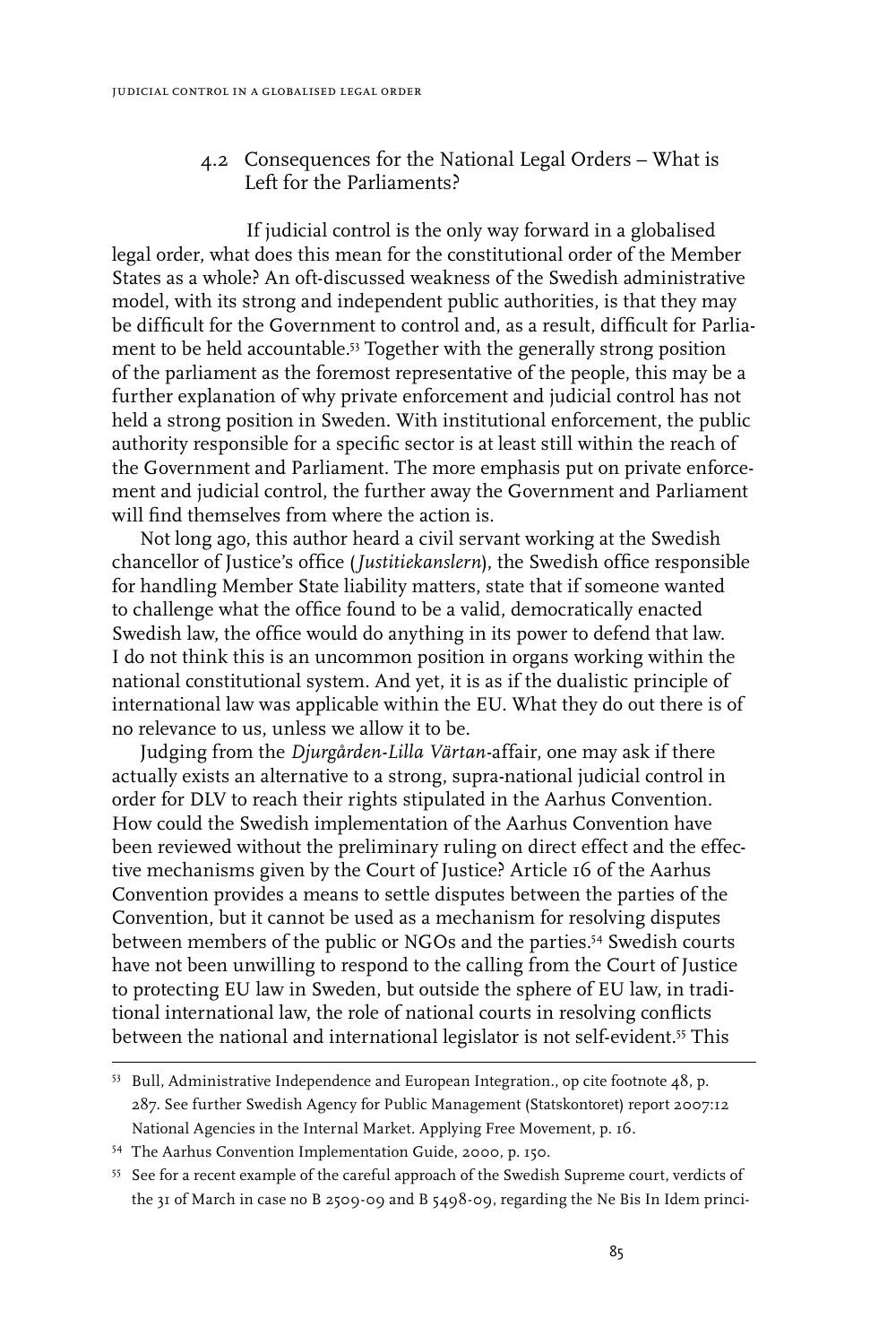#### 4.2 Consequences for the National Legal Orders – What is Left for the Parliaments?

If judicial control is the only way forward in a globalised legal order, what does this mean for the constitutional order of the Member States as a whole? An oft-discussed weakness of the Swedish administrative model, with its strong and independent public authorities, is that they may be difficult for the Government to control and, as a result, difficult for Parliament to be held accountable.53 Together with the generally strong position of the parliament as the foremost representative of the people, this may be a further explanation of why private enforcement and judicial control has not held a strong position in Sweden. With institutional enforcement, the public authority responsible for a specific sector is at least still within the reach of the Government and Parliament. The more emphasis put on private enforcement and judicial control, the further away the Government and Parliament will find themselves from where the action is.

Not long ago, this author heard a civil servant working at the Swedish chancellor of Justice's office (*Justitiekanslern*), the Swedish office responsible for handling Member State liability matters, state that if someone wanted to challenge what the office found to be a valid, democratically enacted Swedish law, the office would do anything in its power to defend that law. I do not think this is an uncommon position in organs working within the national constitutional system. And yet, it is as if the dualistic principle of international law was applicable within the EU. What they do out there is of no relevance to us, unless we allow it to be.

Judging from the *Djurgården-Lilla Värtan-*affair, one may ask if there actually exists an alternative to a strong, supra-national judicial control in order for DLV to reach their rights stipulated in the Aarhus Convention. How could the Swedish implementation of the Aarhus Convention have been reviewed without the preliminary ruling on direct effect and the effective mechanisms given by the Court of Justice? Article 16 of the Aarhus Convention provides a means to settle disputes between the parties of the Convention, but it cannot be used as a mechanism for resolving disputes between members of the public or NGOs and the parties.54 Swedish courts have not been unwilling to respond to the calling from the Court of Justice to protecting EU law in Sweden, but outside the sphere of EU law, in traditional international law, the role of national courts in resolving conflicts between the national and international legislator is not self-evident.<sup>55</sup> This

<sup>53</sup> Bull, Administrative Independence and European Integration., op cite footnote 48, p. 287. See further Swedish Agency for Public Management (Statskontoret) report 2007:12 National Agencies in the Internal Market. Applying Free Movement, p. 16.

<sup>54</sup> The Aarhus Convention Implementation Guide, 2000, p. 150.

<sup>55</sup> See for a recent example of the careful approach of the Swedish Supreme court, verdicts of the 31 of March in case no B 2509-09 and B 5498-09, regarding the Ne Bis In Idem princi-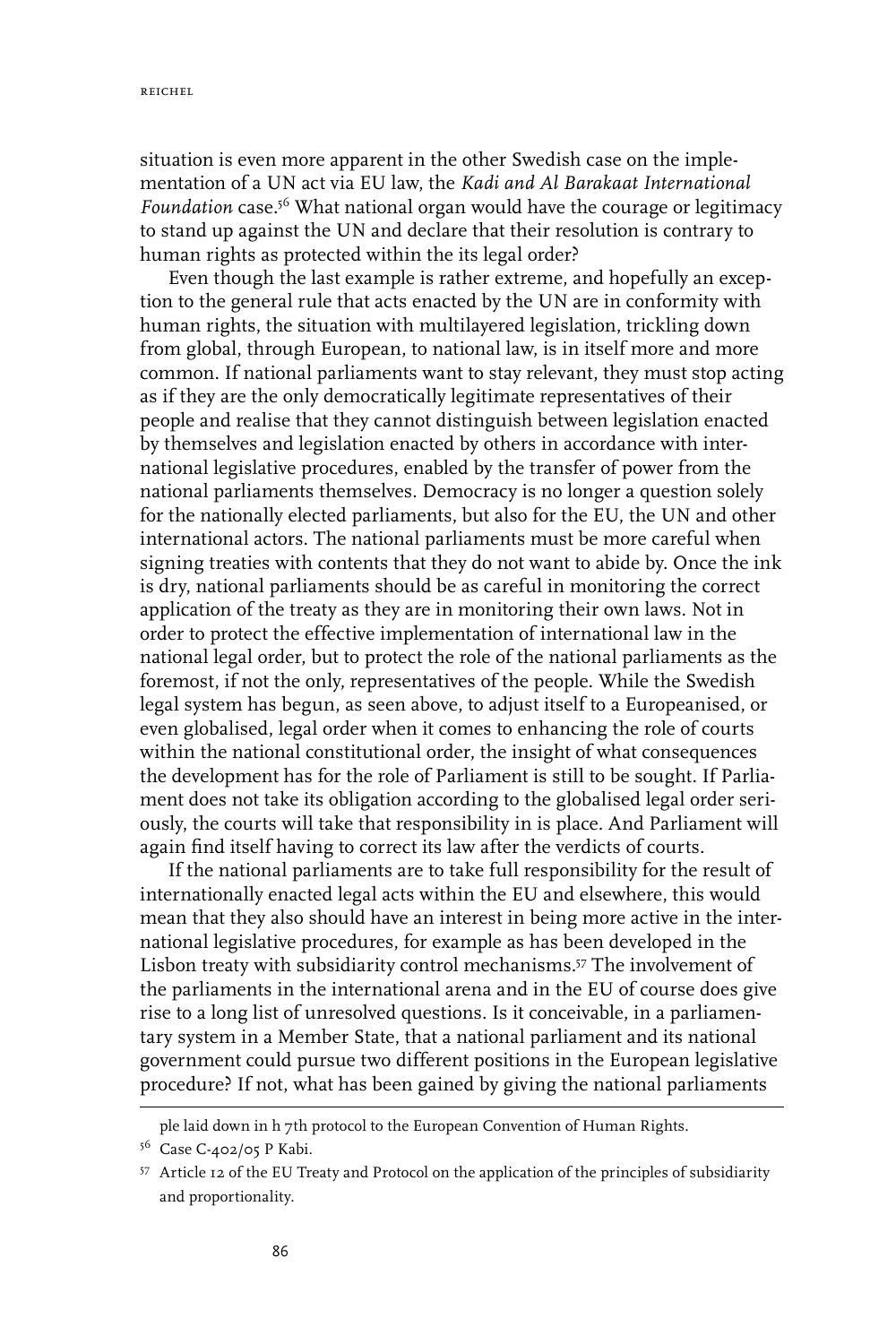situation is even more apparent in the other Swedish case on the implementation of a UN act via EU law, the *Kadi and Al Barakaat International*  Foundation case.<sup>56</sup> What national organ would have the courage or legitimacy to stand up against the UN and declare that their resolution is contrary to human rights as protected within the its legal order?

Even though the last example is rather extreme, and hopefully an exception to the general rule that acts enacted by the UN are in conformity with human rights, the situation with multilayered legislation, trickling down from global, through European, to national law, is in itself more and more common. If national parliaments want to stay relevant, they must stop acting as if they are the only democratically legitimate representatives of their people and realise that they cannot distinguish between legislation enacted by themselves and legislation enacted by others in accordance with international legislative procedures, enabled by the transfer of power from the national parliaments themselves. Democracy is no longer a question solely for the nationally elected parliaments, but also for the EU, the UN and other international actors. The national parliaments must be more careful when signing treaties with contents that they do not want to abide by. Once the ink is dry, national parliaments should be as careful in monitoring the correct application of the treaty as they are in monitoring their own laws. Not in order to protect the effective implementation of international law in the national legal order, but to protect the role of the national parliaments as the foremost, if not the only, representatives of the people. While the Swedish legal system has begun, as seen above, to adjust itself to a Europeanised, or even globalised, legal order when it comes to enhancing the role of courts within the national constitutional order, the insight of what consequences the development has for the role of Parliament is still to be sought. If Parliament does not take its obligation according to the globalised legal order seriously, the courts will take that responsibility in is place. And Parliament will again find itself having to correct its law after the verdicts of courts.

If the national parliaments are to take full responsibility for the result of internationally enacted legal acts within the EU and elsewhere, this would mean that they also should have an interest in being more active in the international legislative procedures, for example as has been developed in the Lisbon treaty with subsidiarity control mechanisms.57 The involvement of the parliaments in the international arena and in the EU of course does give rise to a long list of unresolved questions. Is it conceivable, in a parliamentary system in a Member State, that a national parliament and its national government could pursue two different positions in the European legislative procedure? If not, what has been gained by giving the national parliaments

ple laid down in h 7th protocol to the European Convention of Human Rights.

<sup>&</sup>lt;sup>56</sup> Case C-402/05 P Kabi.

<sup>57</sup> Article 12 of the EU Treaty and Protocol on the application of the principles of subsidiarity and proportionality.